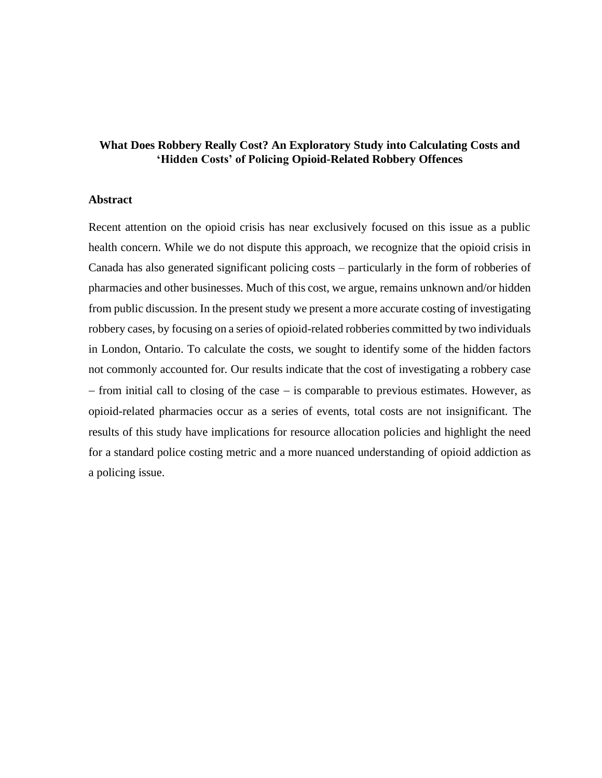# **What Does Robbery Really Cost? An Exploratory Study into Calculating Costs and 'Hidden Costs' of Policing Opioid-Related Robbery Offences**

## **Abstract**

Recent attention on the opioid crisis has near exclusively focused on this issue as a public health concern. While we do not dispute this approach, we recognize that the opioid crisis in Canada has also generated significant policing costs – particularly in the form of robberies of pharmacies and other businesses. Much of this cost, we argue, remains unknown and/or hidden from public discussion. In the present study we present a more accurate costing of investigating robbery cases, by focusing on a series of opioid-related robberies committed by two individuals in London, Ontario. To calculate the costs, we sought to identify some of the hidden factors not commonly accounted for. Our results indicate that the cost of investigating a robbery case − from initial call to closing of the case − is comparable to previous estimates. However, as opioid-related pharmacies occur as a series of events, total costs are not insignificant. The results of this study have implications for resource allocation policies and highlight the need for a standard police costing metric and a more nuanced understanding of opioid addiction as a policing issue.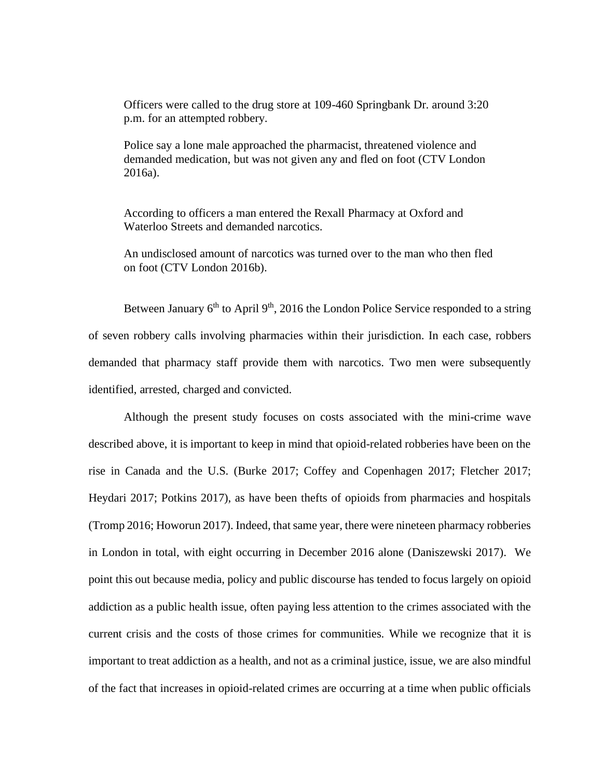Officers were called to the drug store at 109-460 Springbank Dr. around 3:20 p.m. for an attempted robbery.

Police say a lone male approached the pharmacist, threatened violence and demanded medication, but was not given any and fled on foot (CTV London 2016a).

According to officers a man entered the Rexall Pharmacy at Oxford and Waterloo Streets and demanded narcotics.

An undisclosed amount of narcotics was turned over to the man who then fled on foot (CTV London 2016b).

Between January  $6<sup>th</sup>$  to April 9<sup>th</sup>, 2016 the London Police Service responded to a string of seven robbery calls involving pharmacies within their jurisdiction. In each case, robbers demanded that pharmacy staff provide them with narcotics. Two men were subsequently identified, arrested, charged and convicted.

Although the present study focuses on costs associated with the mini-crime wave described above, it is important to keep in mind that opioid-related robberies have been on the rise in Canada and the U.S. (Burke 2017; Coffey and Copenhagen 2017; Fletcher 2017; Heydari 2017; Potkins 2017), as have been thefts of opioids from pharmacies and hospitals (Tromp 2016; Howorun 2017). Indeed, that same year, there were nineteen pharmacy robberies in London in total, with eight occurring in December 2016 alone (Daniszewski 2017). We point this out because media, policy and public discourse has tended to focus largely on opioid addiction as a public health issue, often paying less attention to the crimes associated with the current crisis and the costs of those crimes for communities. While we recognize that it is important to treat addiction as a health, and not as a criminal justice, issue, we are also mindful of the fact that increases in opioid-related crimes are occurring at a time when public officials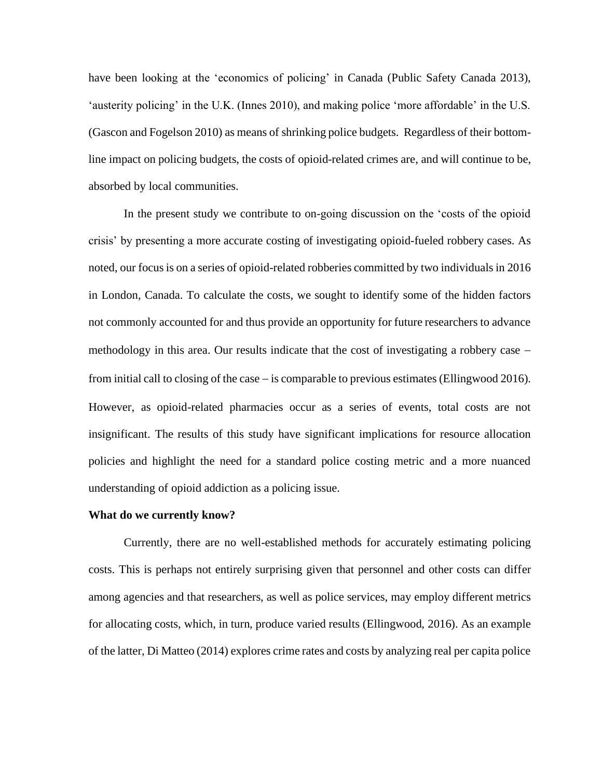have been looking at the 'economics of policing' in Canada (Public Safety Canada 2013), 'austerity policing' in the U.K. (Innes 2010), and making police 'more affordable' in the U.S. (Gascon and Fogelson 2010) as means of shrinking police budgets. Regardless of their bottomline impact on policing budgets, the costs of opioid-related crimes are, and will continue to be, absorbed by local communities.

In the present study we contribute to on-going discussion on the 'costs of the opioid crisis' by presenting a more accurate costing of investigating opioid-fueled robbery cases. As noted, our focus is on a series of opioid-related robberies committed by two individuals in 2016 in London, Canada. To calculate the costs, we sought to identify some of the hidden factors not commonly accounted for and thus provide an opportunity for future researchers to advance methodology in this area. Our results indicate that the cost of investigating a robbery case − from initial call to closing of the case − is comparable to previous estimates (Ellingwood 2016). However, as opioid-related pharmacies occur as a series of events, total costs are not insignificant. The results of this study have significant implications for resource allocation policies and highlight the need for a standard police costing metric and a more nuanced understanding of opioid addiction as a policing issue.

#### **What do we currently know?**

Currently, there are no well-established methods for accurately estimating policing costs. This is perhaps not entirely surprising given that personnel and other costs can differ among agencies and that researchers, as well as police services, may employ different metrics for allocating costs, which, in turn, produce varied results (Ellingwood, 2016). As an example of the latter, Di Matteo (2014) explores crime rates and costs by analyzing real per capita police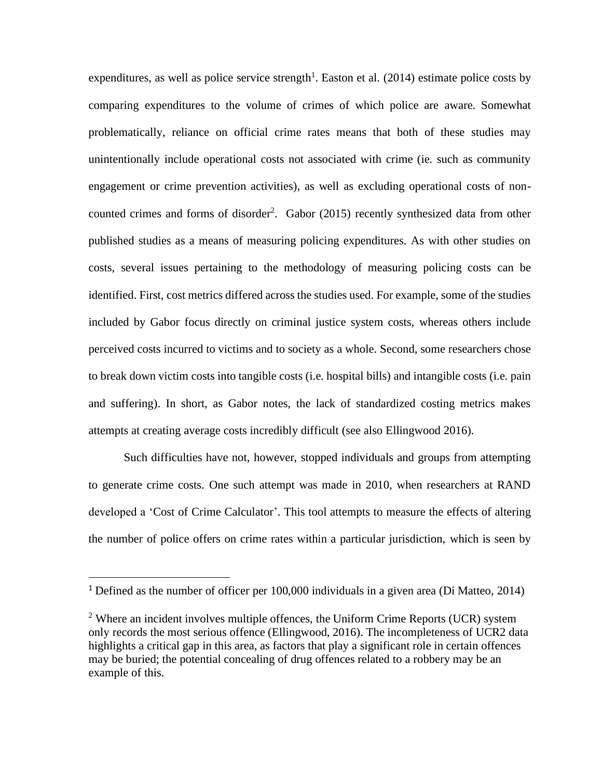expenditures, as well as police service strength<sup>1</sup>. Easton et al.  $(2014)$  estimate police costs by comparing expenditures to the volume of crimes of which police are aware. Somewhat problematically, reliance on official crime rates means that both of these studies may unintentionally include operational costs not associated with crime (ie. such as community engagement or crime prevention activities), as well as excluding operational costs of noncounted crimes and forms of disorder<sup>2</sup>. Gabor (2015) recently synthesized data from other published studies as a means of measuring policing expenditures. As with other studies on costs, several issues pertaining to the methodology of measuring policing costs can be identified. First, cost metrics differed across the studies used. For example, some of the studies included by Gabor focus directly on criminal justice system costs, whereas others include perceived costs incurred to victims and to society as a whole. Second, some researchers chose to break down victim costs into tangible costs (i.e. hospital bills) and intangible costs (i.e. pain and suffering). In short, as Gabor notes, the lack of standardized costing metrics makes attempts at creating average costs incredibly difficult (see also Ellingwood 2016).

Such difficulties have not, however, stopped individuals and groups from attempting to generate crime costs. One such attempt was made in 2010, when researchers at RAND developed a 'Cost of Crime Calculator'. This tool attempts to measure the effects of altering the number of police offers on crime rates within a particular jurisdiction, which is seen by

<sup>&</sup>lt;sup>1</sup> Defined as the number of officer per 100,000 individuals in a given area (Di Matteo, 2014)

 $2$  Where an incident involves multiple offences, the Uniform Crime Reports (UCR) system only records the most serious offence (Ellingwood, 2016). The incompleteness of UCR2 data highlights a critical gap in this area, as factors that play a significant role in certain offences may be buried; the potential concealing of drug offences related to a robbery may be an example of this.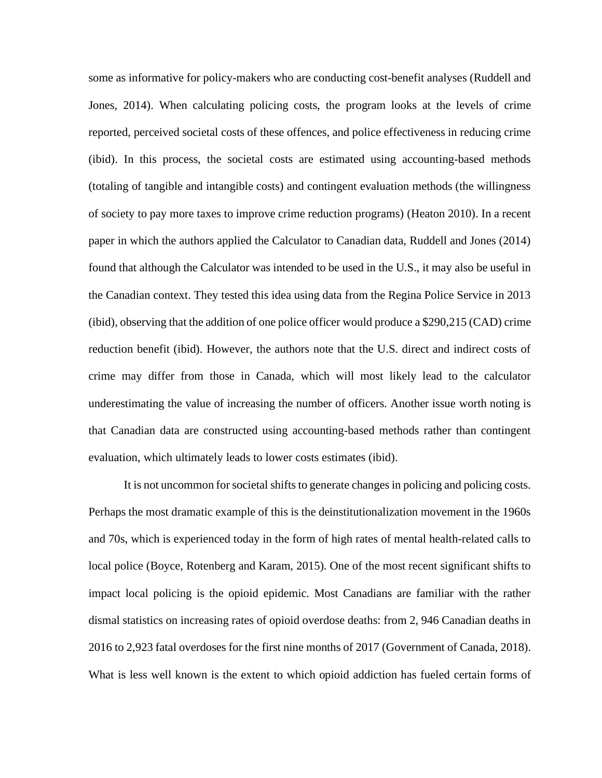some as informative for policy-makers who are conducting cost-benefit analyses (Ruddell and Jones, 2014). When calculating policing costs, the program looks at the levels of crime reported, perceived societal costs of these offences, and police effectiveness in reducing crime (ibid). In this process, the societal costs are estimated using accounting-based methods (totaling of tangible and intangible costs) and contingent evaluation methods (the willingness of society to pay more taxes to improve crime reduction programs) (Heaton 2010). In a recent paper in which the authors applied the Calculator to Canadian data, Ruddell and Jones (2014) found that although the Calculator was intended to be used in the U.S., it may also be useful in the Canadian context. They tested this idea using data from the Regina Police Service in 2013 (ibid), observing that the addition of one police officer would produce a \$290,215 (CAD) crime reduction benefit (ibid). However, the authors note that the U.S. direct and indirect costs of crime may differ from those in Canada, which will most likely lead to the calculator underestimating the value of increasing the number of officers. Another issue worth noting is that Canadian data are constructed using accounting-based methods rather than contingent evaluation, which ultimately leads to lower costs estimates (ibid).

It is not uncommon for societal shifts to generate changes in policing and policing costs. Perhaps the most dramatic example of this is the deinstitutionalization movement in the 1960s and 70s, which is experienced today in the form of high rates of mental health-related calls to local police (Boyce, Rotenberg and Karam, 2015). One of the most recent significant shifts to impact local policing is the opioid epidemic. Most Canadians are familiar with the rather dismal statistics on increasing rates of opioid overdose deaths: from 2, 946 Canadian deaths in 2016 to 2,923 fatal overdoses for the first nine months of 2017 (Government of Canada, 2018). What is less well known is the extent to which opioid addiction has fueled certain forms of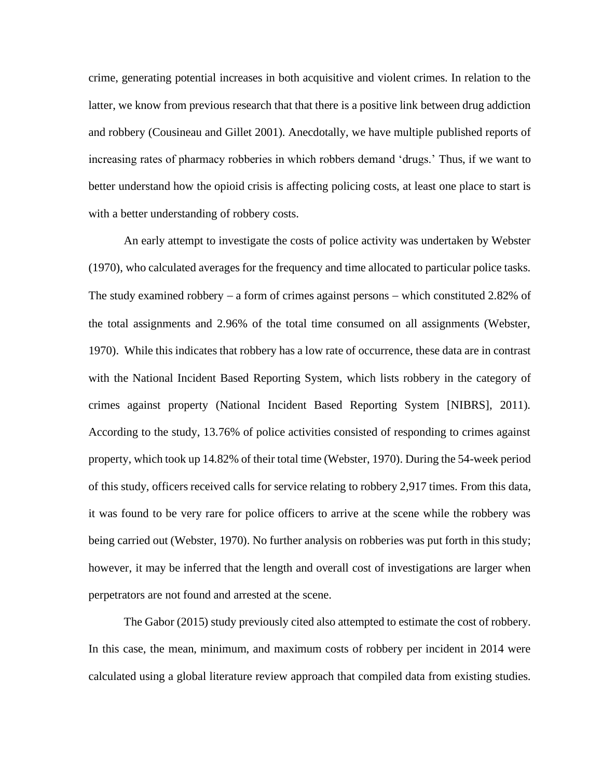crime, generating potential increases in both acquisitive and violent crimes. In relation to the latter, we know from previous research that that there is a positive link between drug addiction and robbery (Cousineau and Gillet 2001). Anecdotally, we have multiple published reports of increasing rates of pharmacy robberies in which robbers demand 'drugs.' Thus, if we want to better understand how the opioid crisis is affecting policing costs, at least one place to start is with a better understanding of robbery costs.

An early attempt to investigate the costs of police activity was undertaken by Webster (1970), who calculated averages for the frequency and time allocated to particular police tasks. The study examined robbery – a form of crimes against persons – which constituted 2.82% of the total assignments and 2.96% of the total time consumed on all assignments (Webster, 1970). While this indicates that robbery has a low rate of occurrence, these data are in contrast with the National Incident Based Reporting System, which lists robbery in the category of crimes against property (National Incident Based Reporting System [NIBRS], 2011). According to the study, 13.76% of police activities consisted of responding to crimes against property, which took up 14.82% of their total time (Webster, 1970). During the 54-week period of this study, officers received calls for service relating to robbery 2,917 times. From this data, it was found to be very rare for police officers to arrive at the scene while the robbery was being carried out (Webster, 1970). No further analysis on robberies was put forth in this study; however, it may be inferred that the length and overall cost of investigations are larger when perpetrators are not found and arrested at the scene.

The Gabor (2015) study previously cited also attempted to estimate the cost of robbery. In this case, the mean, minimum, and maximum costs of robbery per incident in 2014 were calculated using a global literature review approach that compiled data from existing studies.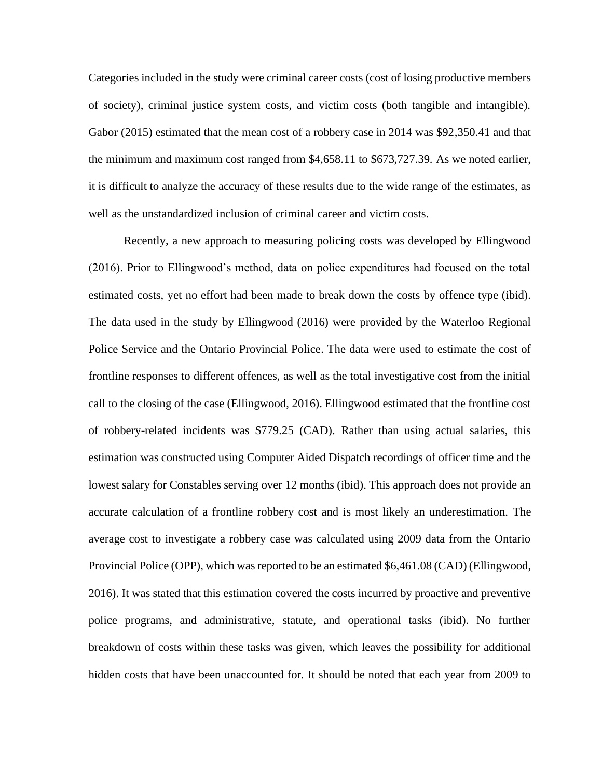Categories included in the study were criminal career costs (cost of losing productive members of society), criminal justice system costs, and victim costs (both tangible and intangible). Gabor (2015) estimated that the mean cost of a robbery case in 2014 was \$92,350.41 and that the minimum and maximum cost ranged from \$4,658.11 to \$673,727.39. As we noted earlier, it is difficult to analyze the accuracy of these results due to the wide range of the estimates, as well as the unstandardized inclusion of criminal career and victim costs.

Recently, a new approach to measuring policing costs was developed by Ellingwood (2016). Prior to Ellingwood's method, data on police expenditures had focused on the total estimated costs, yet no effort had been made to break down the costs by offence type (ibid). The data used in the study by Ellingwood (2016) were provided by the Waterloo Regional Police Service and the Ontario Provincial Police. The data were used to estimate the cost of frontline responses to different offences, as well as the total investigative cost from the initial call to the closing of the case (Ellingwood, 2016). Ellingwood estimated that the frontline cost of robbery-related incidents was \$779.25 (CAD). Rather than using actual salaries, this estimation was constructed using Computer Aided Dispatch recordings of officer time and the lowest salary for Constables serving over 12 months (ibid). This approach does not provide an accurate calculation of a frontline robbery cost and is most likely an underestimation. The average cost to investigate a robbery case was calculated using 2009 data from the Ontario Provincial Police (OPP), which was reported to be an estimated \$6,461.08 (CAD) (Ellingwood, 2016). It was stated that this estimation covered the costs incurred by proactive and preventive police programs, and administrative, statute, and operational tasks (ibid). No further breakdown of costs within these tasks was given, which leaves the possibility for additional hidden costs that have been unaccounted for. It should be noted that each year from 2009 to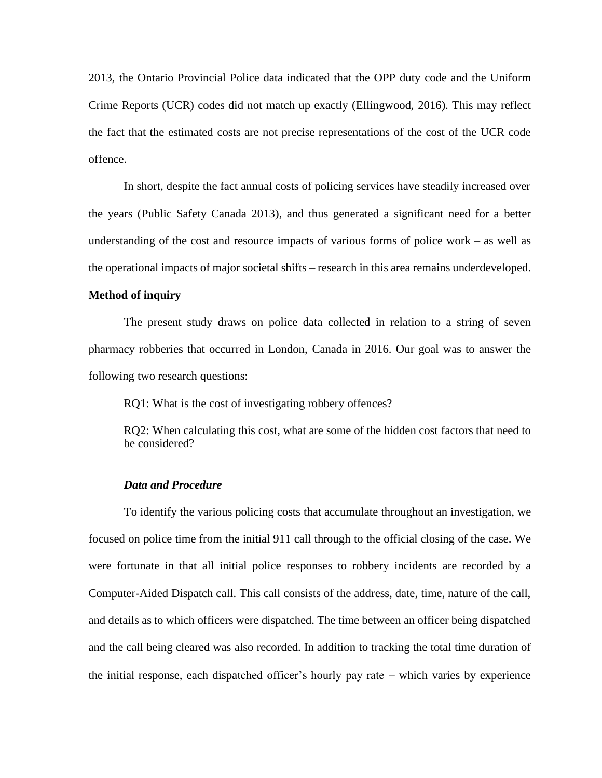2013, the Ontario Provincial Police data indicated that the OPP duty code and the Uniform Crime Reports (UCR) codes did not match up exactly (Ellingwood, 2016). This may reflect the fact that the estimated costs are not precise representations of the cost of the UCR code offence.

In short, despite the fact annual costs of policing services have steadily increased over the years (Public Safety Canada 2013), and thus generated a significant need for a better understanding of the cost and resource impacts of various forms of police work – as well as the operational impacts of major societal shifts – research in this area remains underdeveloped.

### **Method of inquiry**

The present study draws on police data collected in relation to a string of seven pharmacy robberies that occurred in London, Canada in 2016. Our goal was to answer the following two research questions:

RQ1: What is the cost of investigating robbery offences?

RQ2: When calculating this cost, what are some of the hidden cost factors that need to be considered?

#### *Data and Procedure*

To identify the various policing costs that accumulate throughout an investigation, we focused on police time from the initial 911 call through to the official closing of the case. We were fortunate in that all initial police responses to robbery incidents are recorded by a Computer-Aided Dispatch call. This call consists of the address, date, time, nature of the call, and details as to which officers were dispatched. The time between an officer being dispatched and the call being cleared was also recorded. In addition to tracking the total time duration of the initial response, each dispatched officer's hourly pay rate − which varies by experience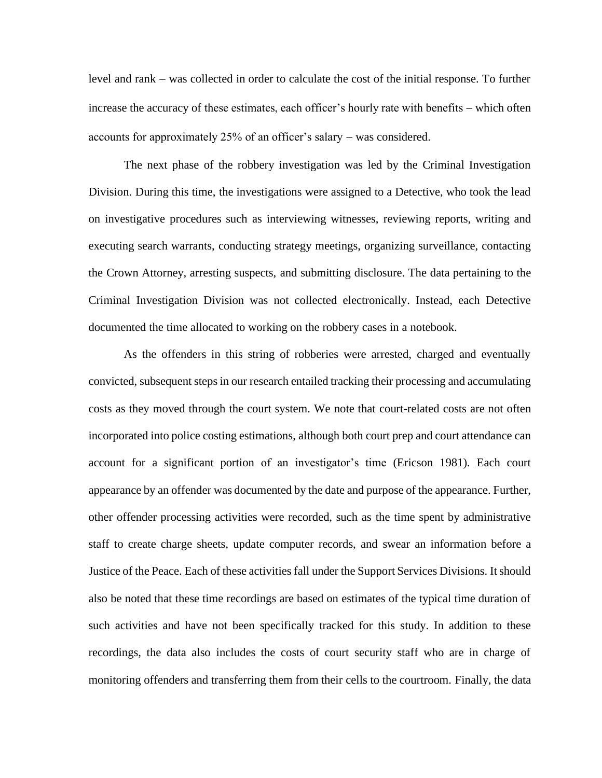level and rank − was collected in order to calculate the cost of the initial response. To further increase the accuracy of these estimates, each officer's hourly rate with benefits − which often accounts for approximately 25% of an officer's salary − was considered.

The next phase of the robbery investigation was led by the Criminal Investigation Division. During this time, the investigations were assigned to a Detective, who took the lead on investigative procedures such as interviewing witnesses, reviewing reports, writing and executing search warrants, conducting strategy meetings, organizing surveillance, contacting the Crown Attorney, arresting suspects, and submitting disclosure. The data pertaining to the Criminal Investigation Division was not collected electronically. Instead, each Detective documented the time allocated to working on the robbery cases in a notebook.

As the offenders in this string of robberies were arrested, charged and eventually convicted, subsequent steps in our research entailed tracking their processing and accumulating costs as they moved through the court system. We note that court-related costs are not often incorporated into police costing estimations, although both court prep and court attendance can account for a significant portion of an investigator's time (Ericson 1981). Each court appearance by an offender was documented by the date and purpose of the appearance. Further, other offender processing activities were recorded, such as the time spent by administrative staff to create charge sheets, update computer records, and swear an information before a Justice of the Peace. Each of these activities fall under the Support Services Divisions. It should also be noted that these time recordings are based on estimates of the typical time duration of such activities and have not been specifically tracked for this study. In addition to these recordings, the data also includes the costs of court security staff who are in charge of monitoring offenders and transferring them from their cells to the courtroom. Finally, the data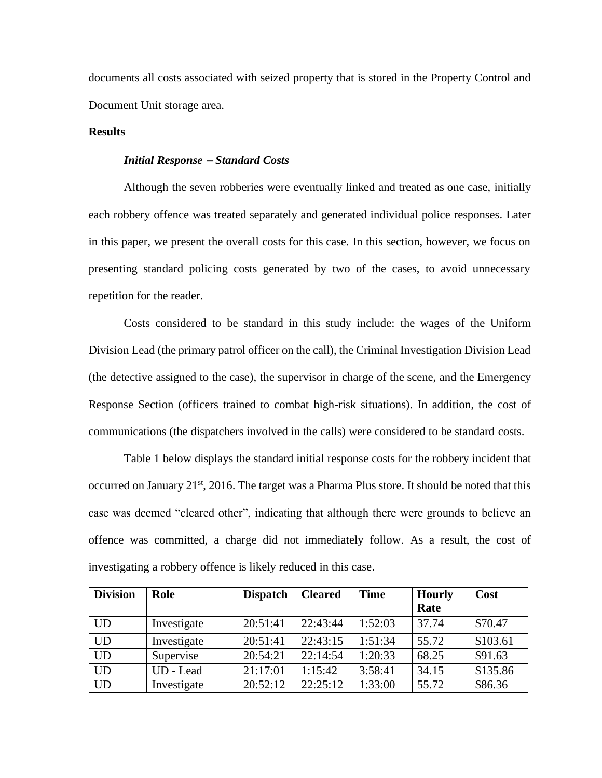documents all costs associated with seized property that is stored in the Property Control and Document Unit storage area.

### **Results**

### *Initial Response* <sup>−</sup> *Standard Costs*

Although the seven robberies were eventually linked and treated as one case, initially each robbery offence was treated separately and generated individual police responses. Later in this paper, we present the overall costs for this case. In this section, however, we focus on presenting standard policing costs generated by two of the cases, to avoid unnecessary repetition for the reader.

Costs considered to be standard in this study include: the wages of the Uniform Division Lead (the primary patrol officer on the call), the Criminal Investigation Division Lead (the detective assigned to the case), the supervisor in charge of the scene, and the Emergency Response Section (officers trained to combat high-risk situations). In addition, the cost of communications (the dispatchers involved in the calls) were considered to be standard costs.

Table 1 below displays the standard initial response costs for the robbery incident that occurred on January 21<sup>st</sup>, 2016. The target was a Pharma Plus store. It should be noted that this case was deemed "cleared other", indicating that although there were grounds to believe an offence was committed, a charge did not immediately follow. As a result, the cost of investigating a robbery offence is likely reduced in this case.

| <b>Division</b> | Role        | <b>Dispatch</b> | <b>Cleared</b> | <b>Time</b> | <b>Hourly</b> | Cost     |
|-----------------|-------------|-----------------|----------------|-------------|---------------|----------|
|                 |             |                 |                |             | Rate          |          |
| <b>UD</b>       | Investigate | 20:51:41        | 22:43:44       | 1:52:03     | 37.74         | \$70.47  |
| <b>UD</b>       | Investigate | 20:51:41        | 22:43:15       | 1:51:34     | 55.72         | \$103.61 |
| <b>UD</b>       | Supervise   | 20:54:21        | 22:14:54       | 1:20:33     | 68.25         | \$91.63  |
| <b>UD</b>       | UD - Lead   | 21:17:01        | 1:15:42        | 3:58:41     | 34.15         | \$135.86 |
| <b>UD</b>       | Investigate | 20:52:12        | 22:25:12       | 1:33:00     | 55.72         | \$86.36  |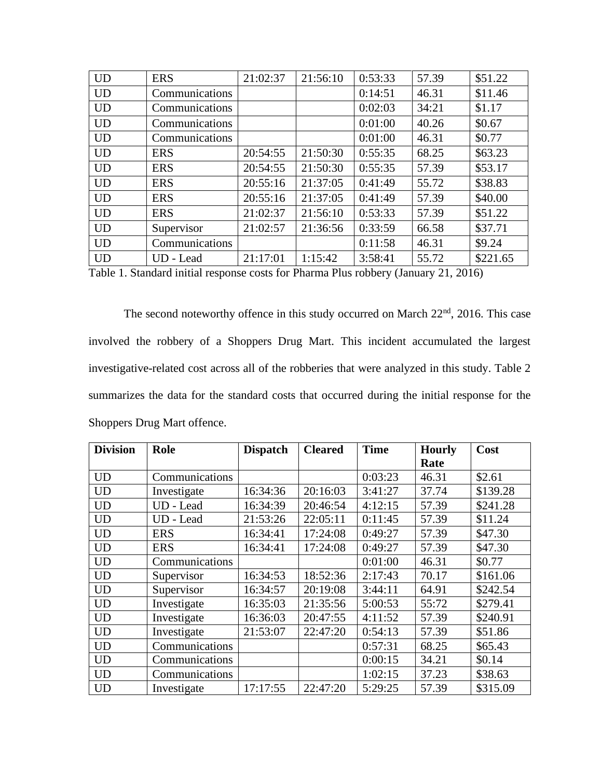| <b>UD</b> | <b>ERS</b>     | 21:02:37 | 21:56:10 | 0:53:33 | 57.39 | \$51.22  |
|-----------|----------------|----------|----------|---------|-------|----------|
| <b>UD</b> | Communications |          |          | 0:14:51 | 46.31 | \$11.46  |
| <b>UD</b> | Communications |          |          | 0:02:03 | 34:21 | \$1.17   |
| <b>UD</b> | Communications |          |          | 0:01:00 | 40.26 | \$0.67   |
| <b>UD</b> | Communications |          |          | 0:01:00 | 46.31 | \$0.77   |
| <b>UD</b> | <b>ERS</b>     | 20:54:55 | 21:50:30 | 0:55:35 | 68.25 | \$63.23  |
| <b>UD</b> | <b>ERS</b>     | 20:54:55 | 21:50:30 | 0:55:35 | 57.39 | \$53.17  |
| <b>UD</b> | <b>ERS</b>     | 20:55:16 | 21:37:05 | 0:41:49 | 55.72 | \$38.83  |
| <b>UD</b> | <b>ERS</b>     | 20:55:16 | 21:37:05 | 0:41:49 | 57.39 | \$40.00  |
| <b>UD</b> | <b>ERS</b>     | 21:02:37 | 21:56:10 | 0:53:33 | 57.39 | \$51.22  |
| <b>UD</b> | Supervisor     | 21:02:57 | 21:36:56 | 0:33:59 | 66.58 | \$37.71  |
| <b>UD</b> | Communications |          |          | 0:11:58 | 46.31 | \$9.24   |
| <b>UD</b> | UD - Lead      | 21:17:01 | 1:15:42  | 3:58:41 | 55.72 | \$221.65 |

Table 1. Standard initial response costs for Pharma Plus robbery (January 21, 2016)

The second noteworthy offence in this study occurred on March 22<sup>nd</sup>, 2016. This case involved the robbery of a Shoppers Drug Mart. This incident accumulated the largest investigative-related cost across all of the robberies that were analyzed in this study. Table 2 summarizes the data for the standard costs that occurred during the initial response for the Shoppers Drug Mart offence.

| <b>Division</b> | Role           | <b>Dispatch</b> | <b>Cleared</b> | <b>Time</b> | <b>Hourly</b><br>Rate | Cost     |
|-----------------|----------------|-----------------|----------------|-------------|-----------------------|----------|
|                 |                |                 |                |             |                       |          |
| <b>UD</b>       | Communications |                 |                | 0:03:23     | 46.31                 | \$2.61   |
| <b>UD</b>       | Investigate    | 16:34:36        | 20:16:03       | 3:41:27     | 37.74                 | \$139.28 |
| <b>UD</b>       | UD - Lead      | 16:34:39        | 20:46:54       | 4:12:15     | 57.39                 | \$241.28 |
| <b>UD</b>       | UD - Lead      | 21:53:26        | 22:05:11       | 0:11:45     | 57.39                 | \$11.24  |
| <b>UD</b>       | <b>ERS</b>     | 16:34:41        | 17:24:08       | 0:49:27     | 57.39                 | \$47.30  |
| <b>UD</b>       | <b>ERS</b>     | 16:34:41        | 17:24:08       | 0:49:27     | 57.39                 | \$47.30  |
| <b>UD</b>       | Communications |                 |                | 0:01:00     | 46.31                 | \$0.77   |
| <b>UD</b>       | Supervisor     | 16:34:53        | 18:52:36       | 2:17:43     | 70.17                 | \$161.06 |
| <b>UD</b>       | Supervisor     | 16:34:57        | 20:19:08       | 3:44:11     | 64.91                 | \$242.54 |
| <b>UD</b>       | Investigate    | 16:35:03        | 21:35:56       | 5:00:53     | 55:72                 | \$279.41 |
| <b>UD</b>       | Investigate    | 16:36:03        | 20:47:55       | 4:11:52     | 57.39                 | \$240.91 |
| <b>UD</b>       | Investigate    | 21:53:07        | 22:47:20       | 0:54:13     | 57.39                 | \$51.86  |
| <b>UD</b>       | Communications |                 |                | 0:57:31     | 68.25                 | \$65.43  |
| <b>UD</b>       | Communications |                 |                | 0:00:15     | 34.21                 | \$0.14   |
| <b>UD</b>       | Communications |                 |                | 1:02:15     | 37.23                 | \$38.63  |
| <b>UD</b>       | Investigate    | 17:17:55        | 22:47:20       | 5:29:25     | 57.39                 | \$315.09 |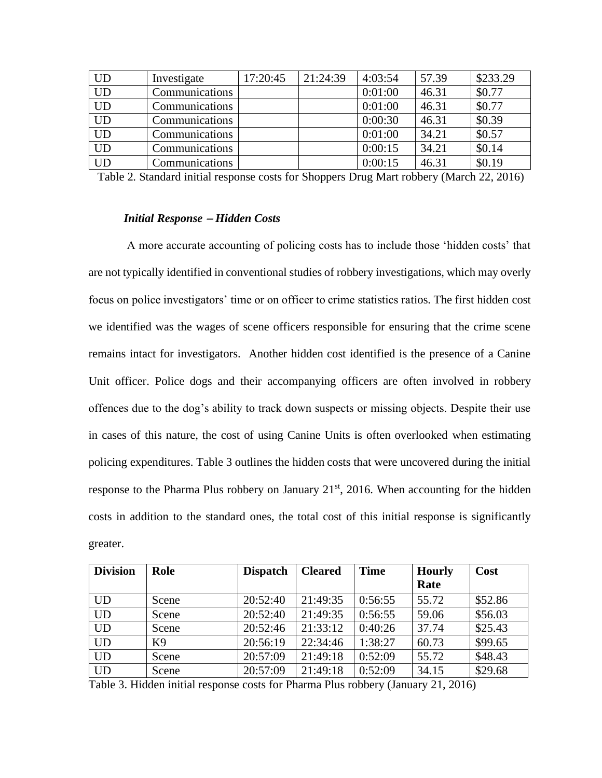| <b>UD</b>       | Investigate    | 17:20:45 | 21:24:39 | 4:03:54 | 57.39 | \$233.29 |
|-----------------|----------------|----------|----------|---------|-------|----------|
| $\overline{UD}$ | Communications |          |          | 0:01:00 | 46.31 | \$0.77   |
| <b>UD</b>       | Communications |          |          | 0:01:00 | 46.31 | \$0.77   |
| $\overline{UD}$ | Communications |          |          | 0:00:30 | 46.31 | \$0.39   |
| $\overline{UD}$ | Communications |          |          | 0:01:00 | 34.21 | \$0.57   |
| <b>UD</b>       | Communications |          |          | 0:00:15 | 34.21 | \$0.14   |
| <b>UD</b>       | Communications |          |          | 0:00:15 | 46.31 | \$0.19   |

Table 2. Standard initial response costs for Shoppers Drug Mart robbery (March 22, 2016)

#### *Initial Response* <sup>−</sup> *Hidden Costs*

A more accurate accounting of policing costs has to include those 'hidden costs' that are not typically identified in conventional studies of robbery investigations, which may overly focus on police investigators' time or on officer to crime statistics ratios. The first hidden cost we identified was the wages of scene officers responsible for ensuring that the crime scene remains intact for investigators. Another hidden cost identified is the presence of a Canine Unit officer. Police dogs and their accompanying officers are often involved in robbery offences due to the dog's ability to track down suspects or missing objects. Despite their use in cases of this nature, the cost of using Canine Units is often overlooked when estimating policing expenditures. Table 3 outlines the hidden costs that were uncovered during the initial response to the Pharma Plus robbery on January  $21<sup>st</sup>$ , 2016. When accounting for the hidden costs in addition to the standard ones, the total cost of this initial response is significantly greater.

| <b>Division</b> | Role  | <b>Dispatch</b> | <b>Cleared</b> | <b>Time</b> | <b>Hourly</b> | Cost    |
|-----------------|-------|-----------------|----------------|-------------|---------------|---------|
|                 |       |                 |                |             | Rate          |         |
| <b>UD</b>       | Scene | 20:52:40        | 21:49:35       | 0:56:55     | 55.72         | \$52.86 |
| <b>UD</b>       | Scene | 20:52:40        | 21:49:35       | 0:56:55     | 59.06         | \$56.03 |
| <b>UD</b>       | Scene | 20:52:46        | 21:33:12       | 0:40:26     | 37.74         | \$25.43 |
| <b>UD</b>       | K9    | 20:56:19        | 22:34:46       | 1:38:27     | 60.73         | \$99.65 |
| <b>UD</b>       | Scene | 20:57:09        | 21:49:18       | 0:52:09     | 55.72         | \$48.43 |
| <b>UD</b>       | Scene | 20:57:09        | 21:49:18       | 0:52:09     | 34.15         | \$29.68 |

Table 3. Hidden initial response costs for Pharma Plus robbery (January 21, 2016)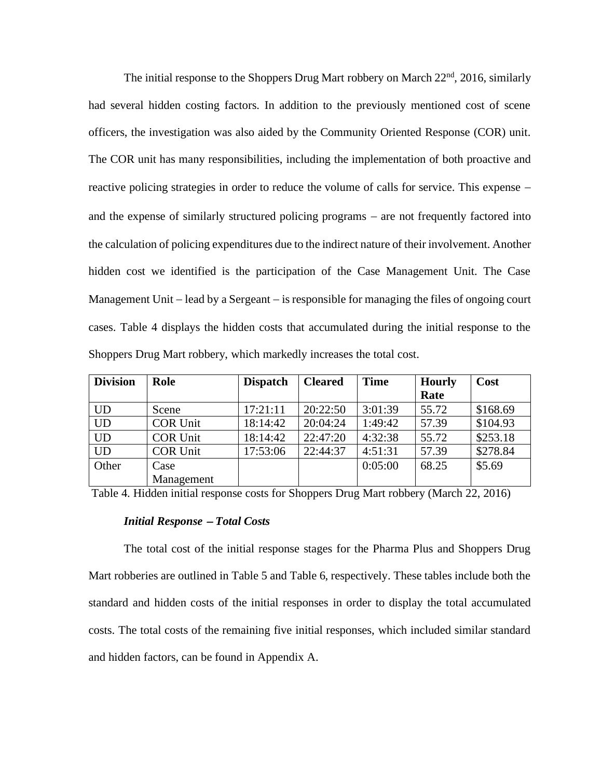The initial response to the Shoppers Drug Mart robbery on March  $22<sup>nd</sup>$ ,  $2016$ , similarly had several hidden costing factors. In addition to the previously mentioned cost of scene officers, the investigation was also aided by the Community Oriented Response (COR) unit. The COR unit has many responsibilities, including the implementation of both proactive and reactive policing strategies in order to reduce the volume of calls for service. This expense − and the expense of similarly structured policing programs − are not frequently factored into the calculation of policing expenditures due to the indirect nature of their involvement. Another hidden cost we identified is the participation of the Case Management Unit. The Case Management Unit – lead by a Sergeant – is responsible for managing the files of ongoing court cases. Table 4 displays the hidden costs that accumulated during the initial response to the Shoppers Drug Mart robbery, which markedly increases the total cost.

| <b>Division</b> | Role            | <b>Dispatch</b> | <b>Cleared</b> | <b>Time</b> | <b>Hourly</b> | Cost     |
|-----------------|-----------------|-----------------|----------------|-------------|---------------|----------|
|                 |                 |                 |                |             | Rate          |          |
| <b>UD</b>       | Scene           | 17:21:11        | 20:22:50       | 3:01:39     | 55.72         | \$168.69 |
| <b>UD</b>       | <b>COR Unit</b> | 18:14:42        | 20:04:24       | 1:49:42     | 57.39         | \$104.93 |
| <b>UD</b>       | <b>COR Unit</b> | 18:14:42        | 22:47:20       | 4:32:38     | 55.72         | \$253.18 |
| <b>UD</b>       | <b>COR Unit</b> | 17:53:06        | 22:44:37       | 4:51:31     | 57.39         | \$278.84 |
| Other           | Case            |                 |                | 0:05:00     | 68.25         | \$5.69   |
|                 | Management      |                 |                |             |               |          |

Table 4. Hidden initial response costs for Shoppers Drug Mart robbery (March 22, 2016)

### *Initial Response* <sup>−</sup> *Total Costs*

The total cost of the initial response stages for the Pharma Plus and Shoppers Drug Mart robberies are outlined in Table 5 and Table 6, respectively. These tables include both the standard and hidden costs of the initial responses in order to display the total accumulated costs. The total costs of the remaining five initial responses, which included similar standard and hidden factors, can be found in Appendix A.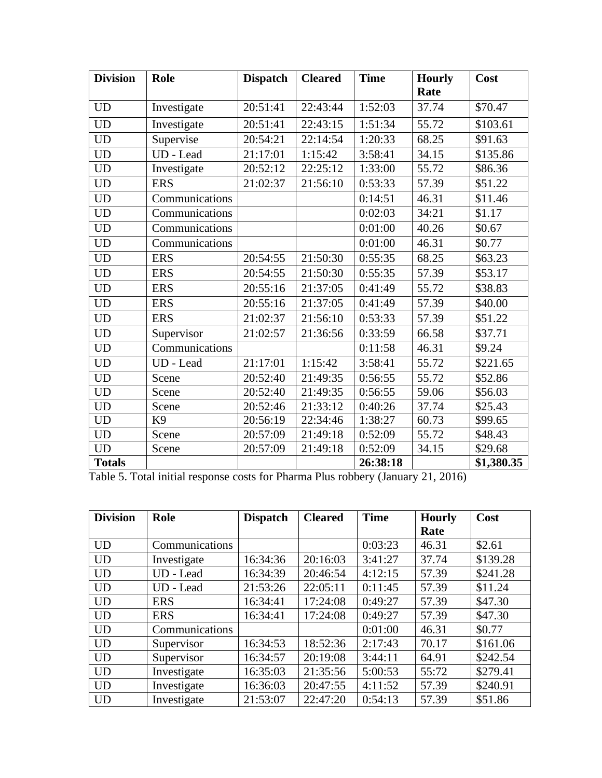| <b>Division</b> | Role           | <b>Dispatch</b> | <b>Cleared</b> | <b>Time</b> | <b>Hourly</b><br>Rate | Cost       |
|-----------------|----------------|-----------------|----------------|-------------|-----------------------|------------|
| <b>UD</b>       | Investigate    | 20:51:41        | 22:43:44       | 1:52:03     | 37.74                 | \$70.47    |
| <b>UD</b>       | Investigate    | 20:51:41        | 22:43:15       | 1:51:34     | 55.72                 | \$103.61   |
| <b>UD</b>       | Supervise      | 20:54:21        | 22:14:54       | 1:20:33     | 68.25                 | \$91.63    |
| <b>UD</b>       | UD - Lead      | 21:17:01        | 1:15:42        | 3:58:41     | 34.15                 | \$135.86   |
| <b>UD</b>       | Investigate    | 20:52:12        | 22:25:12       | 1:33:00     | 55.72                 | \$86.36    |
| <b>UD</b>       | <b>ERS</b>     | 21:02:37        | 21:56:10       | 0:53:33     | 57.39                 | \$51.22    |
| <b>UD</b>       | Communications |                 |                | 0:14:51     | 46.31                 | \$11.46    |
| <b>UD</b>       | Communications |                 |                | 0:02:03     | 34:21                 | \$1.17     |
| <b>UD</b>       | Communications |                 |                | 0:01:00     | 40.26                 | \$0.67     |
| <b>UD</b>       | Communications |                 |                | 0:01:00     | 46.31                 | \$0.77     |
| <b>UD</b>       | <b>ERS</b>     | 20:54:55        | 21:50:30       | 0:55:35     | 68.25                 | \$63.23    |
| <b>UD</b>       | <b>ERS</b>     | 20:54:55        | 21:50:30       | 0:55:35     | 57.39                 | \$53.17    |
| <b>UD</b>       | <b>ERS</b>     | 20:55:16        | 21:37:05       | 0:41:49     | 55.72                 | \$38.83    |
| <b>UD</b>       | <b>ERS</b>     | 20:55:16        | 21:37:05       | 0:41:49     | 57.39                 | \$40.00    |
| <b>UD</b>       | <b>ERS</b>     | 21:02:37        | 21:56:10       | 0:53:33     | 57.39                 | \$51.22    |
| <b>UD</b>       | Supervisor     | 21:02:57        | 21:36:56       | 0:33:59     | 66.58                 | \$37.71    |
| <b>UD</b>       | Communications |                 |                | 0:11:58     | 46.31                 | \$9.24     |
| <b>UD</b>       | UD - Lead      | 21:17:01        | 1:15:42        | 3:58:41     | 55.72                 | \$221.65   |
| <b>UD</b>       | Scene          | 20:52:40        | 21:49:35       | 0:56:55     | 55.72                 | \$52.86    |
| <b>UD</b>       | Scene          | 20:52:40        | 21:49:35       | 0:56:55     | 59.06                 | \$56.03    |
| <b>UD</b>       | Scene          | 20:52:46        | 21:33:12       | 0:40:26     | 37.74                 | \$25.43    |
| <b>UD</b>       | K <sub>9</sub> | 20:56:19        | 22:34:46       | 1:38:27     | 60.73                 | \$99.65    |
| <b>UD</b>       | Scene          | 20:57:09        | 21:49:18       | 0:52:09     | 55.72                 | \$48.43    |
| <b>UD</b>       | Scene          | 20:57:09        | 21:49:18       | 0:52:09     | 34.15                 | \$29.68    |
| <b>Totals</b>   |                |                 |                | 26:38:18    |                       | \$1,380.35 |

Table 5. Total initial response costs for Pharma Plus robbery (January 21, 2016)

| <b>Division</b> | Role           | <b>Dispatch</b> | <b>Cleared</b> | <b>Time</b> | <b>Hourly</b> | Cost     |
|-----------------|----------------|-----------------|----------------|-------------|---------------|----------|
|                 |                |                 |                |             | Rate          |          |
| <b>UD</b>       | Communications |                 |                | 0:03:23     | 46.31         | \$2.61   |
| <b>UD</b>       | Investigate    | 16:34:36        | 20:16:03       | 3:41:27     | 37.74         | \$139.28 |
| <b>UD</b>       | UD - Lead      | 16:34:39        | 20:46:54       | 4:12:15     | 57.39         | \$241.28 |
| <b>UD</b>       | UD - Lead      | 21:53:26        | 22:05:11       | 0:11:45     | 57.39         | \$11.24  |
| <b>UD</b>       | <b>ERS</b>     | 16:34:41        | 17:24:08       | 0:49:27     | 57.39         | \$47.30  |
| <b>UD</b>       | <b>ERS</b>     | 16:34:41        | 17:24:08       | 0:49:27     | 57.39         | \$47.30  |
| <b>UD</b>       | Communications |                 |                | 0:01:00     | 46.31         | \$0.77   |
| <b>UD</b>       | Supervisor     | 16:34:53        | 18:52:36       | 2:17:43     | 70.17         | \$161.06 |
| <b>UD</b>       | Supervisor     | 16:34:57        | 20:19:08       | 3:44:11     | 64.91         | \$242.54 |
| <b>UD</b>       | Investigate    | 16:35:03        | 21:35:56       | 5:00:53     | 55:72         | \$279.41 |
| <b>UD</b>       | Investigate    | 16:36:03        | 20:47:55       | 4:11:52     | 57.39         | \$240.91 |
| <b>UD</b>       | Investigate    | 21:53:07        | 22:47:20       | 0:54:13     | 57.39         | \$51.86  |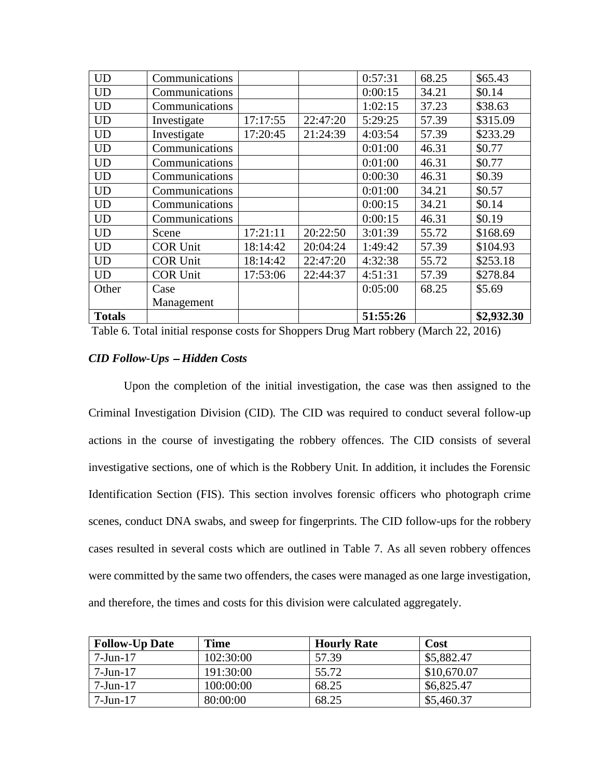| <b>UD</b>     | Communications  |          |          | 0:57:31  | 68.25 | \$65.43    |
|---------------|-----------------|----------|----------|----------|-------|------------|
| <b>UD</b>     | Communications  |          |          | 0:00:15  | 34.21 | \$0.14     |
| <b>UD</b>     | Communications  |          |          | 1:02:15  | 37.23 | \$38.63    |
| <b>UD</b>     | Investigate     | 17:17:55 | 22:47:20 | 5:29:25  | 57.39 | \$315.09   |
| <b>UD</b>     | Investigate     | 17:20:45 | 21:24:39 | 4:03:54  | 57.39 | \$233.29   |
| <b>UD</b>     | Communications  |          |          | 0:01:00  | 46.31 | \$0.77     |
| <b>UD</b>     | Communications  |          |          | 0:01:00  | 46.31 | \$0.77     |
| <b>UD</b>     | Communications  |          |          | 0:00:30  | 46.31 | \$0.39     |
| <b>UD</b>     | Communications  |          |          | 0:01:00  | 34.21 | \$0.57     |
| <b>UD</b>     | Communications  |          |          | 0:00:15  | 34.21 | \$0.14     |
| <b>UD</b>     | Communications  |          |          | 0:00:15  | 46.31 | \$0.19     |
| <b>UD</b>     | Scene           | 17:21:11 | 20:22:50 | 3:01:39  | 55.72 | \$168.69   |
| <b>UD</b>     | <b>COR Unit</b> | 18:14:42 | 20:04:24 | 1:49:42  | 57.39 | \$104.93   |
| <b>UD</b>     | <b>COR Unit</b> | 18:14:42 | 22:47:20 | 4:32:38  | 55.72 | \$253.18   |
| <b>UD</b>     | <b>COR Unit</b> | 17:53:06 | 22:44:37 | 4:51:31  | 57.39 | \$278.84   |
| Other         | Case            |          |          | 0:05:00  | 68.25 | \$5.69     |
|               | Management      |          |          |          |       |            |
| <b>Totals</b> |                 |          |          | 51:55:26 |       | \$2,932.30 |

Table 6. Total initial response costs for Shoppers Drug Mart robbery (March 22, 2016)

# *CID Follow-Ups* <sup>−</sup> *Hidden Costs*

Upon the completion of the initial investigation, the case was then assigned to the Criminal Investigation Division (CID). The CID was required to conduct several follow-up actions in the course of investigating the robbery offences. The CID consists of several investigative sections, one of which is the Robbery Unit. In addition, it includes the Forensic Identification Section (FIS). This section involves forensic officers who photograph crime scenes, conduct DNA swabs, and sweep for fingerprints. The CID follow-ups for the robbery cases resulted in several costs which are outlined in Table 7. As all seven robbery offences were committed by the same two offenders, the cases were managed as one large investigation, and therefore, the times and costs for this division were calculated aggregately.

| <b>Follow-Up Date</b> | Time      | <b>Hourly Rate</b> | Cost        |
|-----------------------|-----------|--------------------|-------------|
| $7 - Jun - 17$        | 102:30:00 | 57.39              | \$5,882.47  |
| $7-J$ un-17           | 191:30:00 | 55.72              | \$10,670.07 |
| $7-Jun-17$            | 100:00:00 | 68.25              | \$6,825.47  |
| $7-Jun-17$            | 80:00:00  | 68.25              | \$5,460.37  |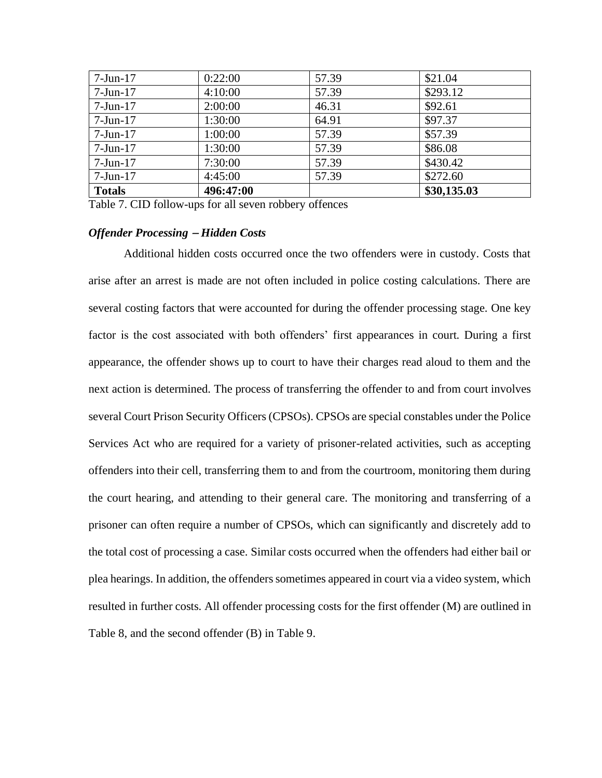| <b>Totals</b>  | 496:47:00 |       | \$30,135.03 |
|----------------|-----------|-------|-------------|
| $7$ -Jun- $17$ | 4:45:00   | 57.39 | \$272.60    |
| $7$ -Jun-17    | 7:30:00   | 57.39 | \$430.42    |
| $7$ -Jun- $17$ | 1:30:00   | 57.39 | \$86.08     |
| $7$ -Jun- $17$ | 1:00:00   | 57.39 | \$57.39     |
| $7$ -Jun- $17$ | 1:30:00   | 64.91 | \$97.37     |
| $7$ -Jun- $17$ | 2:00:00   | 46.31 | \$92.61     |
| $7$ -Jun-17    | 4:10:00   | 57.39 | \$293.12    |
| $7$ -Jun- $17$ | 0:22:00   | 57.39 | \$21.04     |

Table 7. CID follow-ups for all seven robbery offences

### *Offender Processing* <sup>−</sup> *Hidden Costs*

Additional hidden costs occurred once the two offenders were in custody. Costs that arise after an arrest is made are not often included in police costing calculations. There are several costing factors that were accounted for during the offender processing stage. One key factor is the cost associated with both offenders' first appearances in court. During a first appearance, the offender shows up to court to have their charges read aloud to them and the next action is determined. The process of transferring the offender to and from court involves several Court Prison Security Officers (CPSOs). CPSOs are special constables under the Police Services Act who are required for a variety of prisoner-related activities, such as accepting offenders into their cell, transferring them to and from the courtroom, monitoring them during the court hearing, and attending to their general care. The monitoring and transferring of a prisoner can often require a number of CPSOs, which can significantly and discretely add to the total cost of processing a case. Similar costs occurred when the offenders had either bail or plea hearings. In addition, the offenders sometimes appeared in court via a video system, which resulted in further costs. All offender processing costs for the first offender (M) are outlined in Table 8, and the second offender (B) in Table 9.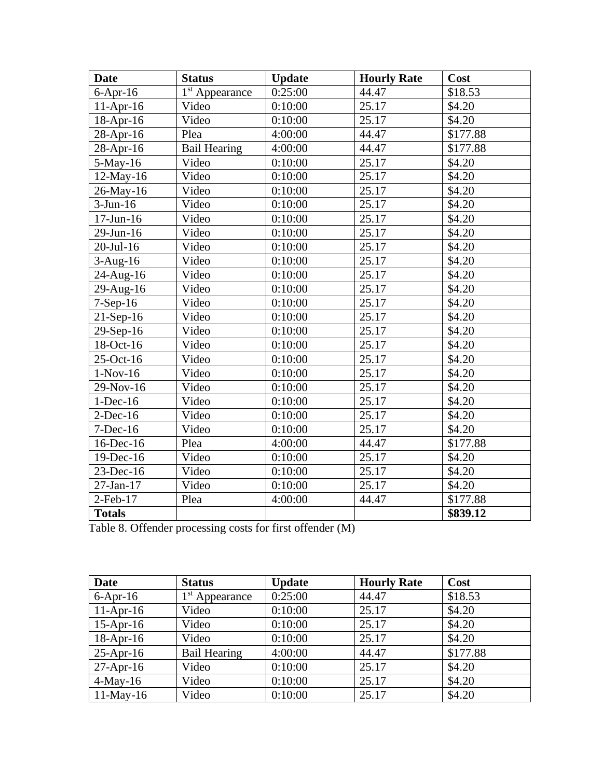| <b>Date</b>     | <b>Status</b>       | <b>Update</b> | <b>Hourly Rate</b> | Cost     |
|-----------------|---------------------|---------------|--------------------|----------|
| $6-Apr-16$      | $1st$ Appearance    | 0:25:00       | 44.47              | \$18.53  |
| $11-Apr-16$     | Video               | 0:10:00       | 25.17              | \$4.20   |
| $18$ -Apr-16    | Video               | 0:10:00       | 25.17              | \$4.20   |
| 28-Apr-16       | Plea                | 4:00:00       | 44.47              | \$177.88 |
| 28-Apr-16       | <b>Bail Hearing</b> | 4:00:00       | 44.47              | \$177.88 |
| $5-May-16$      | Video               | 0:10:00       | 25.17              | \$4.20   |
| $12$ -May-16    | Video               | 0:10:00       | 25.17              | \$4.20   |
| 26-May-16       | Video               | 0:10:00       | 25.17              | \$4.20   |
| $3-Jun-16$      | Video               | 0:10:00       | 25.17              | \$4.20   |
| $17$ -Jun- $16$ | Video               | 0:10:00       | 25.17              | \$4.20   |
| 29-Jun-16       | Video               | 0:10:00       | 25.17              | \$4.20   |
| $20$ -Jul-16    | Video               | 0:10:00       | 25.17              | \$4.20   |
| $3-Aug-16$      | Video               | 0:10:00       | 25.17              | \$4.20   |
| 24-Aug-16       | Video               | 0:10:00       | 25.17              | \$4.20   |
| 29-Aug-16       | Video               | 0:10:00       | 25.17              | \$4.20   |
| $7-Sep-16$      | Video               | 0:10:00       | 25.17              | \$4.20   |
| $21-Sep-16$     | Video               | 0:10:00       | 25.17              | \$4.20   |
| 29-Sep-16       | Video               | 0:10:00       | 25.17              | \$4.20   |
| 18-Oct-16       | Video               | 0:10:00       | 25.17              | \$4.20   |
| 25-Oct-16       | Video               | 0:10:00       | 25.17              | \$4.20   |
| $1-Nov-16$      | Video               | 0:10:00       | 25.17              | \$4.20   |
| 29-Nov-16       | Video               | 0:10:00       | 25.17              | \$4.20   |
| $1-Dec-16$      | Video               | 0:10:00       | 25.17              | \$4.20   |
| $2$ -Dec-16     | Video               | 0:10:00       | 25.17              | \$4.20   |
| $7-Dec-16$      | Video               | 0:10:00       | 25.17              | \$4.20   |
| 16-Dec-16       | Plea                | 4:00:00       | 44.47              | \$177.88 |
| 19-Dec-16       | Video               | 0:10:00       | 25.17              | \$4.20   |
| 23-Dec-16       | Video               | 0:10:00       | 25.17              | \$4.20   |
| 27-Jan-17       | Video               | 0:10:00       | 25.17              | \$4.20   |
| $2$ -Feb-17     | Plea                | 4:00:00       | 44.47              | \$177.88 |
| <b>Totals</b>   |                     |               |                    | \$839.12 |

Table 8. Offender processing costs for first offender (M)

| <b>Date</b>  | <b>Status</b>       | <b>Update</b> | <b>Hourly Rate</b> | Cost     |
|--------------|---------------------|---------------|--------------------|----------|
| $6$ -Apr-16  | $1st$ Appearance    | 0:25:00       | 44.47              | \$18.53  |
| $11-Apr-16$  | Video               | 0:10:00       | 25.17              | \$4.20   |
| $15$ -Apr-16 | Video               | 0:10:00       | 25.17              | \$4.20   |
| $18-Apr-16$  | Video               | 0:10:00       | 25.17              | \$4.20   |
| $25$ -Apr-16 | <b>Bail Hearing</b> | 4:00:00       | 44.47              | \$177.88 |
| $27-Apr-16$  | Video               | 0:10:00       | 25.17              | \$4.20   |
| $4$ -May-16  | Video               | 0:10:00       | 25.17              | \$4.20   |
| $11$ -May-16 | Video               | 0:10:00       | 25.17              | \$4.20   |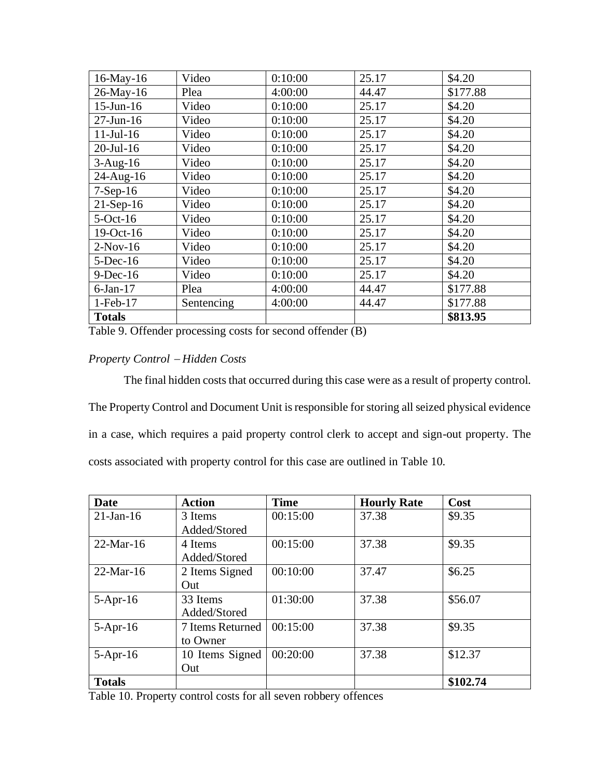| 16-May-16       | Video      | 0:10:00 | 25.17 | \$4.20   |
|-----------------|------------|---------|-------|----------|
| 26-May-16       | Plea       | 4:00:00 | 44.47 | \$177.88 |
| $15$ -Jun- $16$ | Video      | 0:10:00 | 25.17 | \$4.20   |
| $27$ -Jun-16    | Video      | 0:10:00 | 25.17 | \$4.20   |
| $11$ -Jul-16    | Video      | 0:10:00 | 25.17 | \$4.20   |
| $20$ -Jul-16    | Video      | 0:10:00 | 25.17 | \$4.20   |
| $3-Aug-16$      | Video      | 0:10:00 | 25.17 | \$4.20   |
| 24-Aug-16       | Video      | 0:10:00 | 25.17 | \$4.20   |
| $7-Sep-16$      | Video      | 0:10:00 | 25.17 | \$4.20   |
| $21-Sep-16$     | Video      | 0:10:00 | 25.17 | \$4.20   |
| $5$ -Oct-16     | Video      | 0:10:00 | 25.17 | \$4.20   |
| 19-Oct-16       | Video      | 0:10:00 | 25.17 | \$4.20   |
| $2-Nov-16$      | Video      | 0:10:00 | 25.17 | \$4.20   |
| $5$ -Dec-16     | Video      | 0:10:00 | 25.17 | \$4.20   |
| $9$ -Dec-16     | Video      | 0:10:00 | 25.17 | \$4.20   |
| $6$ -Jan- $17$  | Plea       | 4:00:00 | 44.47 | \$177.88 |
| $1-Feb-17$      | Sentencing | 4:00:00 | 44.47 | \$177.88 |
| <b>Totals</b>   |            |         |       | \$813.95 |

Table 9. Offender processing costs for second offender (B)

# *Property Control* <sup>−</sup> *Hidden Costs*

The final hidden costs that occurred during this case were as a result of property control. The Property Control and Document Unit is responsible for storing all seized physical evidence in a case, which requires a paid property control clerk to accept and sign-out property. The costs associated with property control for this case are outlined in Table 10.

| Date          | <b>Action</b>    | <b>Time</b> | <b>Hourly Rate</b> | Cost     |
|---------------|------------------|-------------|--------------------|----------|
| $21$ -Jan-16  | 3 Items          | 00:15:00    | 37.38              | \$9.35   |
|               | Added/Stored     |             |                    |          |
| $22-Mar-16$   | 4 Items          | 00:15:00    | 37.38              | \$9.35   |
|               | Added/Stored     |             |                    |          |
| $22-Mar-16$   | 2 Items Signed   | 00:10:00    | 37.47              | \$6.25   |
|               | Out              |             |                    |          |
| $5-Apr-16$    | 33 Items         | 01:30:00    | 37.38              | \$56.07  |
|               | Added/Stored     |             |                    |          |
| $5-Apr-16$    | 7 Items Returned | 00:15:00    | 37.38              | \$9.35   |
|               | to Owner         |             |                    |          |
| $5-Apr-16$    | 10 Items Signed  | 00:20:00    | 37.38              | \$12.37  |
|               | Out              |             |                    |          |
| <b>Totals</b> |                  |             |                    | \$102.74 |

Table 10. Property control costs for all seven robbery offences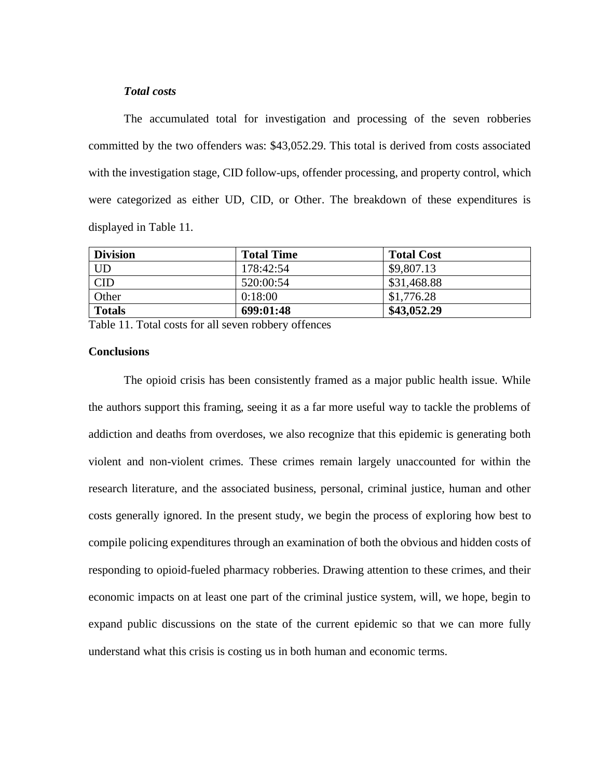### *Total costs*

The accumulated total for investigation and processing of the seven robberies committed by the two offenders was: \$43,052.29. This total is derived from costs associated with the investigation stage, CID follow-ups, offender processing, and property control, which were categorized as either UD, CID, or Other. The breakdown of these expenditures is displayed in Table 11.

| <b>Division</b> | <b>Total Time</b> | <b>Total Cost</b> |
|-----------------|-------------------|-------------------|
| UD              | 178:42:54         | \$9,807.13        |
| <b>CID</b>      | 520:00:54         | \$31,468.88       |
| Other           | 0:18:00           | \$1,776.28        |
| <b>Totals</b>   | 699:01:48         | \$43,052.29       |

Table 11. Total costs for all seven robbery offences

# **Conclusions**

The opioid crisis has been consistently framed as a major public health issue. While the authors support this framing, seeing it as a far more useful way to tackle the problems of addiction and deaths from overdoses, we also recognize that this epidemic is generating both violent and non-violent crimes. These crimes remain largely unaccounted for within the research literature, and the associated business, personal, criminal justice, human and other costs generally ignored. In the present study, we begin the process of exploring how best to compile policing expenditures through an examination of both the obvious and hidden costs of responding to opioid-fueled pharmacy robberies. Drawing attention to these crimes, and their economic impacts on at least one part of the criminal justice system, will, we hope, begin to expand public discussions on the state of the current epidemic so that we can more fully understand what this crisis is costing us in both human and economic terms.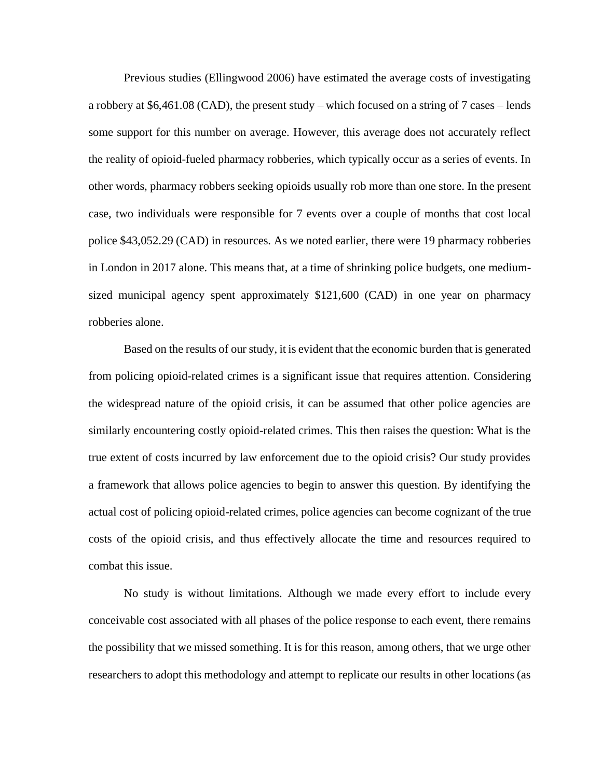Previous studies (Ellingwood 2006) have estimated the average costs of investigating a robbery at \$6,461.08 (CAD), the present study – which focused on a string of 7 cases – lends some support for this number on average. However, this average does not accurately reflect the reality of opioid-fueled pharmacy robberies, which typically occur as a series of events. In other words, pharmacy robbers seeking opioids usually rob more than one store. In the present case, two individuals were responsible for 7 events over a couple of months that cost local police \$43,052.29 (CAD) in resources. As we noted earlier, there were 19 pharmacy robberies in London in 2017 alone. This means that, at a time of shrinking police budgets, one mediumsized municipal agency spent approximately \$121,600 (CAD) in one year on pharmacy robberies alone.

Based on the results of our study, it is evident that the economic burden that is generated from policing opioid-related crimes is a significant issue that requires attention. Considering the widespread nature of the opioid crisis, it can be assumed that other police agencies are similarly encountering costly opioid-related crimes. This then raises the question: What is the true extent of costs incurred by law enforcement due to the opioid crisis? Our study provides a framework that allows police agencies to begin to answer this question. By identifying the actual cost of policing opioid-related crimes, police agencies can become cognizant of the true costs of the opioid crisis, and thus effectively allocate the time and resources required to combat this issue.

No study is without limitations. Although we made every effort to include every conceivable cost associated with all phases of the police response to each event, there remains the possibility that we missed something. It is for this reason, among others, that we urge other researchers to adopt this methodology and attempt to replicate our results in other locations (as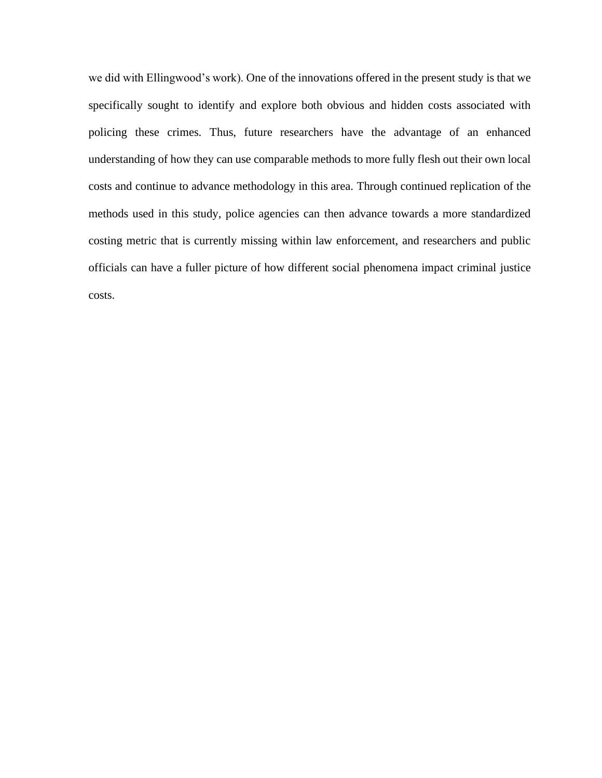we did with Ellingwood's work). One of the innovations offered in the present study is that we specifically sought to identify and explore both obvious and hidden costs associated with policing these crimes. Thus, future researchers have the advantage of an enhanced understanding of how they can use comparable methods to more fully flesh out their own local costs and continue to advance methodology in this area. Through continued replication of the methods used in this study, police agencies can then advance towards a more standardized costing metric that is currently missing within law enforcement, and researchers and public officials can have a fuller picture of how different social phenomena impact criminal justice costs.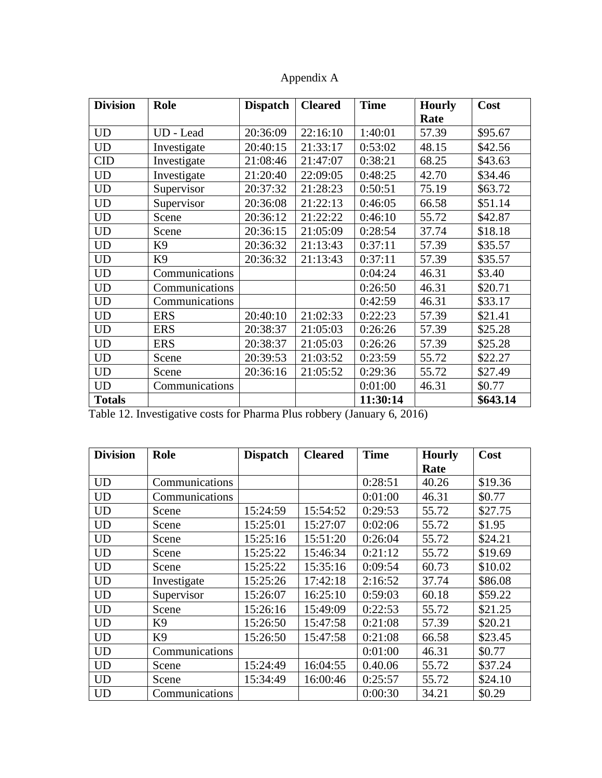| <b>Division</b> | Role           | <b>Dispatch</b> | <b>Cleared</b> | <b>Time</b> | <b>Hourly</b> | Cost     |
|-----------------|----------------|-----------------|----------------|-------------|---------------|----------|
|                 |                |                 |                |             | Rate          |          |
| <b>UD</b>       | UD - Lead      | 20:36:09        | 22:16:10       | 1:40:01     | 57.39         | \$95.67  |
| UD              | Investigate    | 20:40:15        | 21:33:17       | 0:53:02     | 48.15         | \$42.56  |
| <b>CID</b>      | Investigate    | 21:08:46        | 21:47:07       | 0:38:21     | 68.25         | \$43.63  |
| <b>UD</b>       | Investigate    | 21:20:40        | 22:09:05       | 0:48:25     | 42.70         | \$34.46  |
| UD              | Supervisor     | 20:37:32        | 21:28:23       | 0:50:51     | 75.19         | \$63.72  |
| <b>UD</b>       | Supervisor     | 20:36:08        | 21:22:13       | 0:46:05     | 66.58         | \$51.14  |
| <b>UD</b>       | Scene          | 20:36:12        | 21:22:22       | 0:46:10     | 55.72         | \$42.87  |
| <b>UD</b>       | Scene          | 20:36:15        | 21:05:09       | 0:28:54     | 37.74         | \$18.18  |
| <b>UD</b>       | K <sub>9</sub> | 20:36:32        | 21:13:43       | 0:37:11     | 57.39         | \$35.57  |
| <b>UD</b>       | K <sub>9</sub> | 20:36:32        | 21:13:43       | 0:37:11     | 57.39         | \$35.57  |
| <b>UD</b>       | Communications |                 |                | 0:04:24     | 46.31         | \$3.40   |
| <b>UD</b>       | Communications |                 |                | 0:26:50     | 46.31         | \$20.71  |
| UD              | Communications |                 |                | 0:42:59     | 46.31         | \$33.17  |
| <b>UD</b>       | <b>ERS</b>     | 20:40:10        | 21:02:33       | 0:22:23     | 57.39         | \$21.41  |
| <b>UD</b>       | <b>ERS</b>     | 20:38:37        | 21:05:03       | 0:26:26     | 57.39         | \$25.28  |
| <b>UD</b>       | <b>ERS</b>     | 20:38:37        | 21:05:03       | 0:26:26     | 57.39         | \$25.28  |
| <b>UD</b>       | Scene          | 20:39:53        | 21:03:52       | 0:23:59     | 55.72         | \$22.27  |
| <b>UD</b>       | Scene          | 20:36:16        | 21:05:52       | 0:29:36     | 55.72         | \$27.49  |
| UD              | Communications |                 |                | 0:01:00     | 46.31         | \$0.77   |
| <b>Totals</b>   |                |                 |                | 11:30:14    |               | \$643.14 |

| Appendix A |  |
|------------|--|
|------------|--|

Table 12. Investigative costs for Pharma Plus robbery (January 6, 2016)

| <b>Division</b> | Role           | <b>Dispatch</b> | <b>Cleared</b> | <b>Time</b> | <b>Hourly</b> | Cost    |
|-----------------|----------------|-----------------|----------------|-------------|---------------|---------|
|                 |                |                 |                |             | Rate          |         |
| <b>UD</b>       | Communications |                 |                | 0:28:51     | 40.26         | \$19.36 |
| <b>UD</b>       | Communications |                 |                | 0:01:00     | 46.31         | \$0.77  |
| <b>UD</b>       | Scene          | 15:24:59        | 15:54:52       | 0:29:53     | 55.72         | \$27.75 |
| <b>UD</b>       | Scene          | 15:25:01        | 15:27:07       | 0:02:06     | 55.72         | \$1.95  |
| <b>UD</b>       | Scene          | 15:25:16        | 15:51:20       | 0:26:04     | 55.72         | \$24.21 |
| <b>UD</b>       | Scene          | 15:25:22        | 15:46:34       | 0:21:12     | 55.72         | \$19.69 |
| <b>UD</b>       | Scene          | 15:25:22        | 15:35:16       | 0:09:54     | 60.73         | \$10.02 |
| <b>UD</b>       | Investigate    | 15:25:26        | 17:42:18       | 2:16:52     | 37.74         | \$86.08 |
| <b>UD</b>       | Supervisor     | 15:26:07        | 16:25:10       | 0:59:03     | 60.18         | \$59.22 |
| <b>UD</b>       | Scene          | 15:26:16        | 15:49:09       | 0:22:53     | 55.72         | \$21.25 |
| <b>UD</b>       | K <sub>9</sub> | 15:26:50        | 15:47:58       | 0:21:08     | 57.39         | \$20.21 |
| <b>UD</b>       | K <sub>9</sub> | 15:26:50        | 15:47:58       | 0:21:08     | 66.58         | \$23.45 |
| <b>UD</b>       | Communications |                 |                | 0:01:00     | 46.31         | \$0.77  |
| <b>UD</b>       | Scene          | 15:24:49        | 16:04:55       | 0.40.06     | 55.72         | \$37.24 |
| <b>UD</b>       | Scene          | 15:34:49        | 16:00:46       | 0:25:57     | 55.72         | \$24.10 |
| <b>UD</b>       | Communications |                 |                | 0:00:30     | 34.21         | \$0.29  |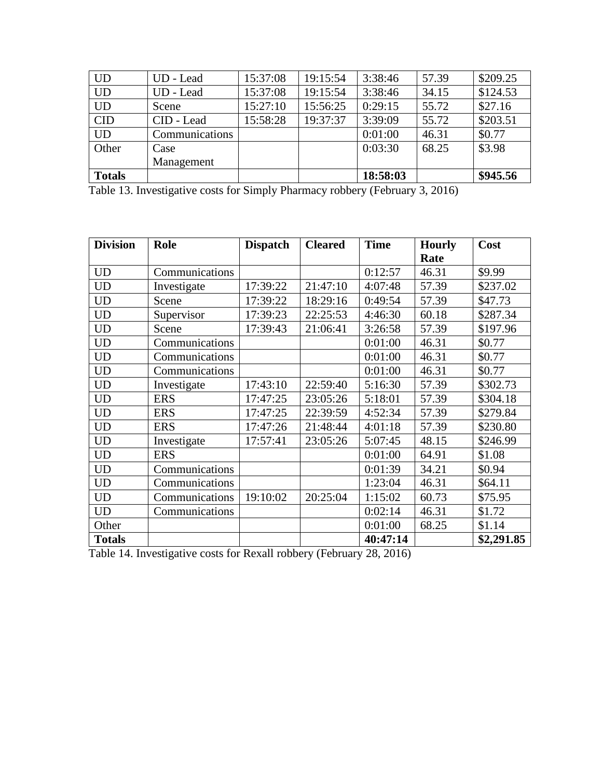| <b>UD</b>     | UD - Lead      | 15:37:08 | 19:15:54 | 3:38:46  | 57.39 | \$209.25 |
|---------------|----------------|----------|----------|----------|-------|----------|
| <b>UD</b>     | UD - Lead      | 15:37:08 | 19:15:54 | 3:38:46  | 34.15 | \$124.53 |
| <b>UD</b>     | Scene          | 15:27:10 | 15:56:25 | 0:29:15  | 55.72 | \$27.16  |
| <b>CID</b>    | CID - Lead     | 15:58:28 | 19:37:37 | 3:39:09  | 55.72 | \$203.51 |
| <b>UD</b>     | Communications |          |          | 0:01:00  | 46.31 | \$0.77   |
| Other         | Case           |          |          | 0:03:30  | 68.25 | \$3.98   |
|               | Management     |          |          |          |       |          |
| <b>Totals</b> |                |          |          | 18:58:03 |       | \$945.56 |

Table 13. Investigative costs for Simply Pharmacy robbery (February 3, 2016)

| <b>Division</b> | <b>Role</b>    | <b>Dispatch</b> | <b>Cleared</b> | <b>Time</b> | <b>Hourly</b> | Cost       |
|-----------------|----------------|-----------------|----------------|-------------|---------------|------------|
|                 |                |                 |                |             | Rate          |            |
| <b>UD</b>       | Communications |                 |                | 0:12:57     | 46.31         | \$9.99     |
| <b>UD</b>       | Investigate    | 17:39:22        | 21:47:10       | 4:07:48     | 57.39         | \$237.02   |
| <b>UD</b>       | Scene          | 17:39:22        | 18:29:16       | 0:49:54     | 57.39         | \$47.73    |
| <b>UD</b>       | Supervisor     | 17:39:23        | 22:25:53       | 4:46:30     | 60.18         | \$287.34   |
| <b>UD</b>       | Scene          | 17:39:43        | 21:06:41       | 3:26:58     | 57.39         | \$197.96   |
| <b>UD</b>       | Communications |                 |                | 0:01:00     | 46.31         | \$0.77     |
| <b>UD</b>       | Communications |                 |                | 0:01:00     | 46.31         | \$0.77     |
| UD              | Communications |                 |                | 0:01:00     | 46.31         | \$0.77     |
| <b>UD</b>       | Investigate    | 17:43:10        | 22:59:40       | 5:16:30     | 57.39         | \$302.73   |
| <b>UD</b>       | <b>ERS</b>     | 17:47:25        | 23:05:26       | 5:18:01     | 57.39         | \$304.18   |
| <b>UD</b>       | <b>ERS</b>     | 17:47:25        | 22:39:59       | 4:52:34     | 57.39         | \$279.84   |
| <b>UD</b>       | <b>ERS</b>     | 17:47:26        | 21:48:44       | 4:01:18     | 57.39         | \$230.80   |
| <b>UD</b>       | Investigate    | 17:57:41        | 23:05:26       | 5:07:45     | 48.15         | \$246.99   |
| <b>UD</b>       | <b>ERS</b>     |                 |                | 0:01:00     | 64.91         | \$1.08     |
| <b>UD</b>       | Communications |                 |                | 0:01:39     | 34.21         | \$0.94     |
| <b>UD</b>       | Communications |                 |                | 1:23:04     | 46.31         | \$64.11    |
| <b>UD</b>       | Communications | 19:10:02        | 20:25:04       | 1:15:02     | 60.73         | \$75.95    |
| <b>UD</b>       | Communications |                 |                | 0:02:14     | 46.31         | \$1.72     |
| Other           |                |                 |                | 0:01:00     | 68.25         | \$1.14     |
| <b>Totals</b>   |                |                 |                | 40:47:14    |               | \$2,291.85 |

Table 14. Investigative costs for Rexall robbery (February 28, 2016)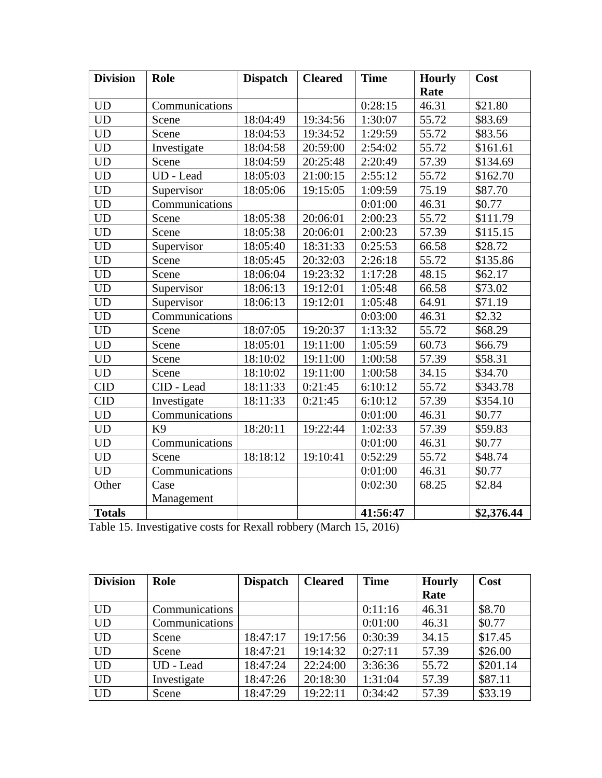| <b>Division</b> | <b>Role</b>    | <b>Dispatch</b> | <b>Cleared</b> | <b>Time</b> | <b>Hourly</b> | Cost       |
|-----------------|----------------|-----------------|----------------|-------------|---------------|------------|
|                 |                |                 |                |             | Rate          |            |
| <b>UD</b>       | Communications |                 |                | 0:28:15     | 46.31         | \$21.80    |
| <b>UD</b>       | Scene          | 18:04:49        | 19:34:56       | 1:30:07     | 55.72         | \$83.69    |
| <b>UD</b>       | Scene          | 18:04:53        | 19:34:52       | 1:29:59     | 55.72         | \$83.56    |
| <b>UD</b>       | Investigate    | 18:04:58        | 20:59:00       | 2:54:02     | 55.72         | \$161.61   |
| <b>UD</b>       | Scene          | 18:04:59        | 20:25:48       | 2:20:49     | 57.39         | \$134.69   |
| <b>UD</b>       | UD - Lead      | 18:05:03        | 21:00:15       | 2:55:12     | 55.72         | \$162.70   |
| <b>UD</b>       | Supervisor     | 18:05:06        | 19:15:05       | 1:09:59     | 75.19         | \$87.70    |
| <b>UD</b>       | Communications |                 |                | 0:01:00     | 46.31         | \$0.77     |
| <b>UD</b>       | Scene          | 18:05:38        | 20:06:01       | 2:00:23     | 55.72         | \$111.79   |
| <b>UD</b>       | Scene          | 18:05:38        | 20:06:01       | 2:00:23     | 57.39         | \$115.15   |
| <b>UD</b>       | Supervisor     | 18:05:40        | 18:31:33       | 0:25:53     | 66.58         | \$28.72    |
| <b>UD</b>       | Scene          | 18:05:45        | 20:32:03       | 2:26:18     | 55.72         | \$135.86   |
| <b>UD</b>       | Scene          | 18:06:04        | 19:23:32       | 1:17:28     | 48.15         | \$62.17    |
| <b>UD</b>       | Supervisor     | 18:06:13        | 19:12:01       | 1:05:48     | 66.58         | \$73.02    |
| <b>UD</b>       | Supervisor     | 18:06:13        | 19:12:01       | 1:05:48     | 64.91         | \$71.19    |
| <b>UD</b>       | Communications |                 |                | 0:03:00     | 46.31         | \$2.32     |
| <b>UD</b>       | Scene          | 18:07:05        | 19:20:37       | 1:13:32     | 55.72         | \$68.29    |
| <b>UD</b>       | Scene          | 18:05:01        | 19:11:00       | 1:05:59     | 60.73         | \$66.79    |
| <b>UD</b>       | Scene          | 18:10:02        | 19:11:00       | 1:00:58     | 57.39         | \$58.31    |
| <b>UD</b>       | Scene          | 18:10:02        | 19:11:00       | 1:00:58     | 34.15         | \$34.70    |
| <b>CID</b>      | CID - Lead     | 18:11:33        | 0:21:45        | 6:10:12     | 55.72         | \$343.78   |
| <b>CID</b>      | Investigate    | 18:11:33        | 0:21:45        | 6:10:12     | 57.39         | \$354.10   |
| <b>UD</b>       | Communications |                 |                | 0:01:00     | 46.31         | \$0.77     |
| <b>UD</b>       | K9             | 18:20:11        | 19:22:44       | 1:02:33     | 57.39         | \$59.83    |
| <b>UD</b>       | Communications |                 |                | 0:01:00     | 46.31         | \$0.77     |
| <b>UD</b>       | Scene          | 18:18:12        | 19:10:41       | 0:52:29     | 55.72         | \$48.74    |
| <b>UD</b>       | Communications |                 |                | 0:01:00     | 46.31         | \$0.77     |
| Other           | Case           |                 |                | 0:02:30     | 68.25         | \$2.84     |
|                 | Management     |                 |                |             |               |            |
| <b>Totals</b>   |                |                 |                | 41:56:47    |               | \$2,376.44 |

| Table 15. Investigative costs for Rexall robbery (March 15, 2016) |  |  |  |  |
|-------------------------------------------------------------------|--|--|--|--|
|-------------------------------------------------------------------|--|--|--|--|

| <b>Division</b> | Role           | <b>Dispatch</b> | <b>Cleared</b> | <b>Time</b> | <b>Hourly</b> | Cost     |
|-----------------|----------------|-----------------|----------------|-------------|---------------|----------|
|                 |                |                 |                |             | Rate          |          |
| <b>UD</b>       | Communications |                 |                | 0:11:16     | 46.31         | \$8.70   |
| <b>UD</b>       | Communications |                 |                | 0:01:00     | 46.31         | \$0.77   |
| <b>UD</b>       | Scene          | 18:47:17        | 19:17:56       | 0:30:39     | 34.15         | \$17.45  |
| <b>UD</b>       | Scene          | 18:47:21        | 19:14:32       | 0:27:11     | 57.39         | \$26.00  |
| <b>UD</b>       | UD - Lead      | 18:47:24        | 22:24:00       | 3:36:36     | 55.72         | \$201.14 |
| <b>UD</b>       | Investigate    | 18:47:26        | 20:18:30       | 1:31:04     | 57.39         | \$87.11  |
| <b>UD</b>       | Scene          | 18:47:29        | 19:22:11       | 0:34:42     | 57.39         | \$33.19  |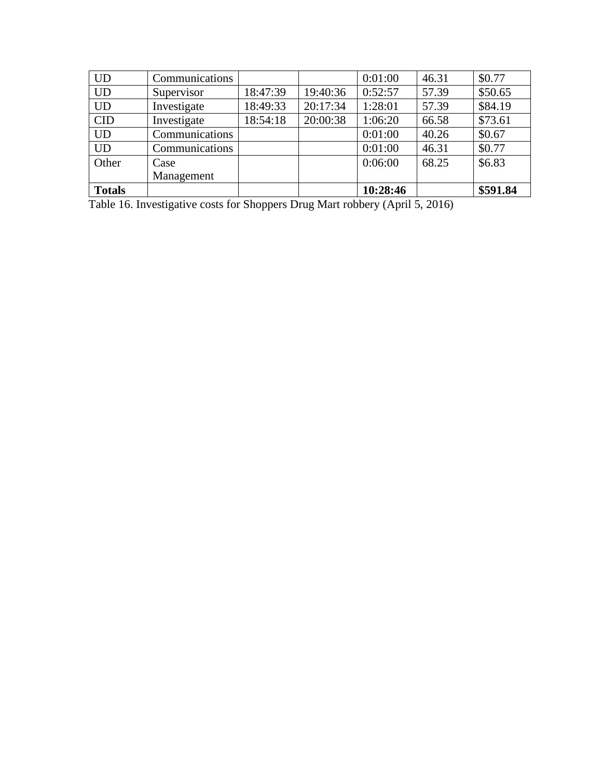| <b>UD</b>     | Communications |          |          | 0:01:00  | 46.31 | \$0.77   |
|---------------|----------------|----------|----------|----------|-------|----------|
| <b>UD</b>     | Supervisor     | 18:47:39 | 19:40:36 | 0:52:57  | 57.39 | \$50.65  |
| <b>UD</b>     | Investigate    | 18:49:33 | 20:17:34 | 1:28:01  | 57.39 | \$84.19  |
| <b>CID</b>    | Investigate    | 18:54:18 | 20:00:38 | 1:06:20  | 66.58 | \$73.61  |
| <b>UD</b>     | Communications |          |          | 0:01:00  | 40.26 | \$0.67   |
| <b>UD</b>     | Communications |          |          | 0:01:00  | 46.31 | \$0.77   |
| Other         | Case           |          |          | 0:06:00  | 68.25 | \$6.83   |
|               | Management     |          |          |          |       |          |
| <b>Totals</b> |                |          |          | 10:28:46 |       | \$591.84 |

Table 16. Investigative costs for Shoppers Drug Mart robbery (April 5, 2016)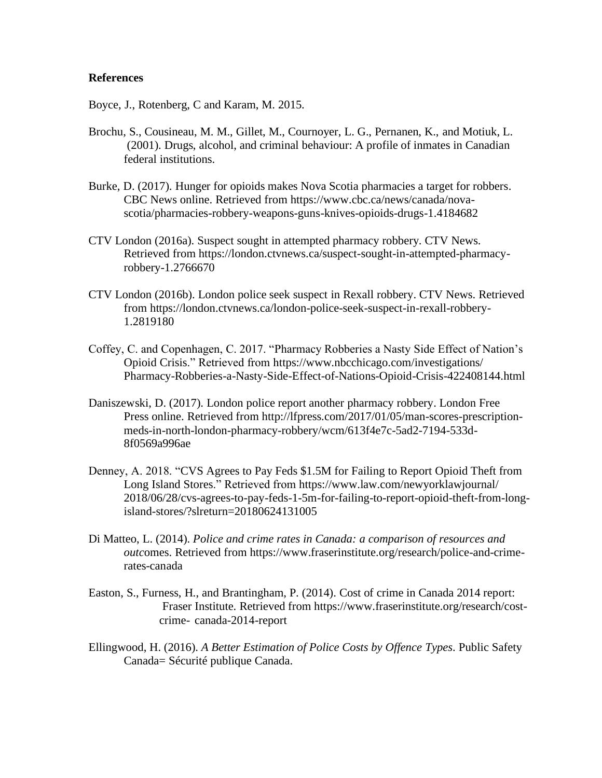### **References**

Boyce, J., Rotenberg, C and Karam, M. 2015.

- Brochu, S., Cousineau, M. M., Gillet, M., Cournoyer, L. G., Pernanen, K., and Motiuk, L. (2001). Drugs, alcohol, and criminal behaviour: A profile of inmates in Canadian federal institutions.
- Burke, D. (2017). Hunger for opioids makes Nova Scotia pharmacies a target for robbers. CBC News online. Retrieved from https://www.cbc.ca/news/canada/novascotia/pharmacies-robbery-weapons-guns-knives-opioids-drugs-1.4184682
- CTV London (2016a). Suspect sought in attempted pharmacy robbery. CTV News. Retrieved from https://london.ctvnews.ca/suspect-sought-in-attempted-pharmacyrobbery-1.2766670
- CTV London (2016b). London police seek suspect in Rexall robbery. CTV News. Retrieved from https://london.ctvnews.ca/london-police-seek-suspect-in-rexall-robbery-1.2819180
- Coffey, C. and Copenhagen, C. 2017. "Pharmacy Robberies a Nasty Side Effect of Nation's Opioid Crisis." Retrieved from https://www.nbcchicago.com/investigations/ Pharmacy-Robberies-a-Nasty-Side-Effect-of-Nations-Opioid-Crisis-422408144.html
- Daniszewski, D. (2017). London police report another pharmacy robbery. London Free Press online. Retrieved from http://lfpress.com/2017/01/05/man-scores-prescriptionmeds-in-north-london-pharmacy-robbery/wcm/613f4e7c-5ad2-7194-533d-8f0569a996ae
- Denney, A. 2018. "CVS Agrees to Pay Feds \$1.5M for Failing to Report Opioid Theft from Long Island Stores." Retrieved from https://www.law.com/newyorklawjournal/ 2018/06/28/cvs-agrees-to-pay-feds-1-5m-for-failing-to-report-opioid-theft-from-longisland-stores/?slreturn=20180624131005
- Di Matteo, L. (2014). *Police and crime rates in Canada: a comparison of resources and outc*omes. Retrieved from https://www.fraserinstitute.org/research/police-and-crimerates-canada
- Easton, S., Furness, H., and Brantingham, P. (2014). Cost of crime in Canada 2014 report: Fraser Institute. Retrieved from [https://www.fraserinstitute.org/research/cost](https://www.fraserinstitute.org/research/cost-)crime- canada-2014-report
- Ellingwood, H. (2016). *A Better Estimation of Police Costs by Offence Types*. Public Safety Canada= Sécurité publique Canada.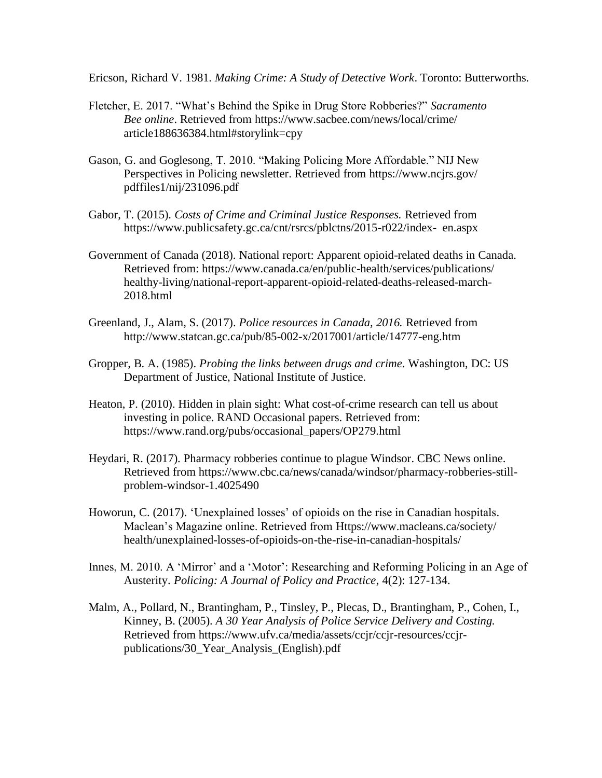Ericson, Richard V. 1981. *Making Crime: A Study of Detective Work*. Toronto: Butterworths.

- Fletcher, E. 2017. "What's Behind the Spike in Drug Store Robberies?" *Sacramento Bee online*. Retrieved from https://www.sacbee.com/news/local/crime/ article188636384.html#storylink=cpy
- Gason, G. and Goglesong, T. 2010. "Making Policing More Affordable." NIJ New Perspectives in Policing newsletter. Retrieved from https://www.ncjrs.gov/ pdffiles1/nij/231096.pdf
- Gabor, T. (2015). *Costs of Crime and Criminal Justice Responses.* Retrieved from [https://www.publicsafety.gc.ca/cnt/rsrcs/pblctns/2015-r022/index-](https://www.publicsafety.gc.ca/cnt/rsrcs/pblctns/2015-r022/index-en.aspx) en.aspx
- Government of Canada (2018). National report: Apparent opioid-related deaths in Canada. Retrieved from: https://www.canada.ca/en/public-health/services/publications/ healthy-living/national-report-apparent-opioid-related-deaths-released-march-2018.html
- Greenland, J., Alam, S. (2017). *Police resources in Canada, 2016.* Retrieved from <http://www.statcan.gc.ca/pub/85-002-x/2017001/article/14777-eng.htm>
- Gropper, B. A. (1985). *Probing the links between drugs and crime*. Washington, DC: US Department of Justice, National Institute of Justice.
- Heaton, P. (2010). Hidden in plain sight: What cost-of-crime research can tell us about investing in police. RAND Occasional papers. Retrieved from: https://www.rand.org/pubs/occasional\_papers/OP279.html
- Heydari, R. (2017). Pharmacy robberies continue to plague Windsor. CBC News online. Retrieved from https://www.cbc.ca/news/canada/windsor/pharmacy-robberies-stillproblem-windsor-1.4025490
- Howorun, C. (2017). 'Unexplained losses' of opioids on the rise in Canadian hospitals. Maclean's Magazine online. Retrieved from Https://www.macleans.ca/society/ health/unexplained-losses-of-opioids-on-the-rise-in-canadian-hospitals/
- Innes, M. 2010. A 'Mirror' and a 'Motor': Researching and Reforming Policing in an Age of Austerity. *Policing: A Journal of Policy and Practice*, 4(2): 127-134.
- Malm, A., Pollard, N., Brantingham, P., Tinsley, P., Plecas, D., Brantingham, P., Cohen, I., Kinney, B. (2005). *A 30 Year Analysis of Police Service Delivery and Costing.*  Retrieved from [https://www.ufv.ca/media/assets/ccjr/ccjr-resources/ccjr](https://www.ufv.ca/media/assets/ccjr/ccjr-resources/ccjr-publications/30_Year_Analysis_(English).pdf)[publications/30\\_Year\\_Analysis\\_\(English\).pdf](https://www.ufv.ca/media/assets/ccjr/ccjr-resources/ccjr-publications/30_Year_Analysis_(English).pdf)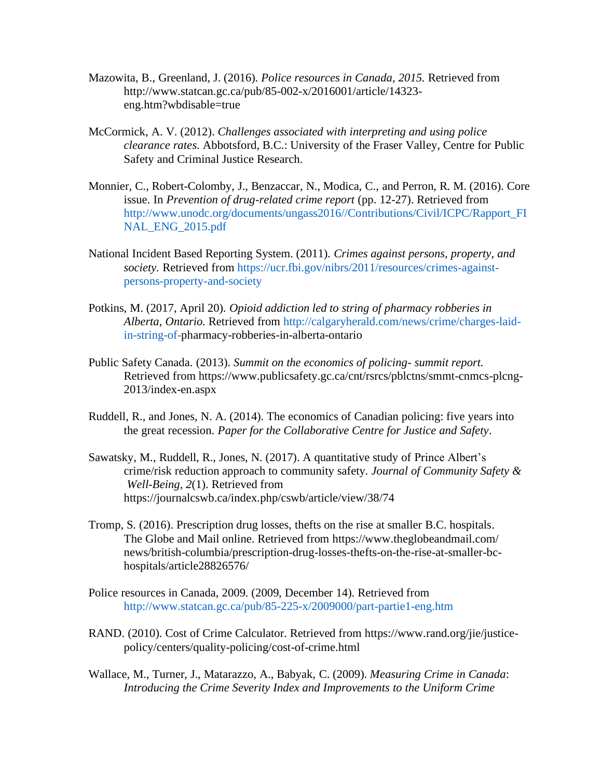- Mazowita, B., Greenland, J. (2016). *Police resources in Canada, 2015.* Retrieved from [http://www.statcan.gc.ca/pub/85-002-x/2016001/article/14323](http://www.statcan.gc.ca/pub/85-002-x/2016001/article/14323-eng.htm?wbdisable=true) [eng.htm?wbdisable=true](http://www.statcan.gc.ca/pub/85-002-x/2016001/article/14323-eng.htm?wbdisable=true)
- McCormick, A. V. (2012). *Challenges associated with interpreting and using police clearance rates*. Abbotsford, B.C.: University of the Fraser Valley, Centre for Public Safety and Criminal Justice Research.
- Monnier, C., Robert-Colomby, J., Benzaccar, N., Modica, C., and Perron, R. M. (2016). Core issue. In *Prevention of drug-related crime report* (pp. 12-27). Retrieved from [http://www.unodc.org/documents/ungass2016//Contributions/Civil/ICPC/Rapport\\_FI](http://www.unodc.org/documents/ungass2016/Contributions/Civil/ICPC/Rapport_FI%09NAL_ENG_2015.pdf) [NAL\\_ENG\\_2015.pdf](http://www.unodc.org/documents/ungass2016/Contributions/Civil/ICPC/Rapport_FI%09NAL_ENG_2015.pdf)
- National Incident Based Reporting System. (2011). *Crimes against persons, property, and society.* Retrieved from [https://ucr.fbi.gov/nibrs/2011/resources/crimes-against](https://ucr.fbi.gov/nibrs/2011/resources/crimes-against-%09persons-property-and-society)[persons-property-and-society](https://ucr.fbi.gov/nibrs/2011/resources/crimes-against-%09persons-property-and-society)
- Potkins, M. (2017, April 20). *Opioid addiction led to string of pharmacy robberies in Alberta, Ontario.* Retrieved from [http://calgaryherald.com/news/crime/charges-laid](http://calgaryherald.com/news/crime/charges-laid-in-string-of-)[in-string-of-p](http://calgaryherald.com/news/crime/charges-laid-in-string-of-)harmacy-robberies-in-alberta-ontario
- Public Safety Canada. (2013). *Summit on the economics of policing- summit report.* Retrieved from [https://www.publicsafety.gc.ca/cnt/rsrcs/pblctns/smmt-cnmcs-plcng-](https://www.publicsafety.gc.ca/cnt/rsrcs/pblctns/smmt-cnmcs-plcng-2013/index-en.aspx)[2013/index-en.aspx](https://www.publicsafety.gc.ca/cnt/rsrcs/pblctns/smmt-cnmcs-plcng-2013/index-en.aspx)
- Ruddell, R., and Jones, N. A. (2014). The economics of Canadian policing: five years into the great recession. *Paper for the Collaborative Centre for Justice and Safety*.
- Sawatsky, M., Ruddell, R., Jones, N. (2017). A quantitative study of Prince Albert's crime/risk reduction approach to community safety. *Journal of Community Safety & Well-Being, 2*(1). Retrieved from <https://journalcswb.ca/index.php/cswb/article/view/38/74>
- Tromp, S. (2016). Prescription drug losses, thefts on the rise at smaller B.C. hospitals. The Globe and Mail online. Retrieved from https://www.theglobeandmail.com/ news/british-columbia/prescription-drug-losses-thefts-on-the-rise-at-smaller-bchospitals/article28826576/
- Police resources in Canada, 2009. (2009, December 14). Retrieved from http://www.statcan.gc.ca/pub/85-225-x/2009000/part-partie1-eng.htm
- RAND. (2010). Cost of Crime Calculator. Retrieved from https://www.rand.org/jie/justicepolicy/centers/quality-policing/cost-of-crime.html
- Wallace, M., Turner, J., Matarazzo, A., Babyak, C. (2009). *Measuring Crime in Canada*: *Introducing the Crime Severity Index and Improvements to the Uniform Crime*